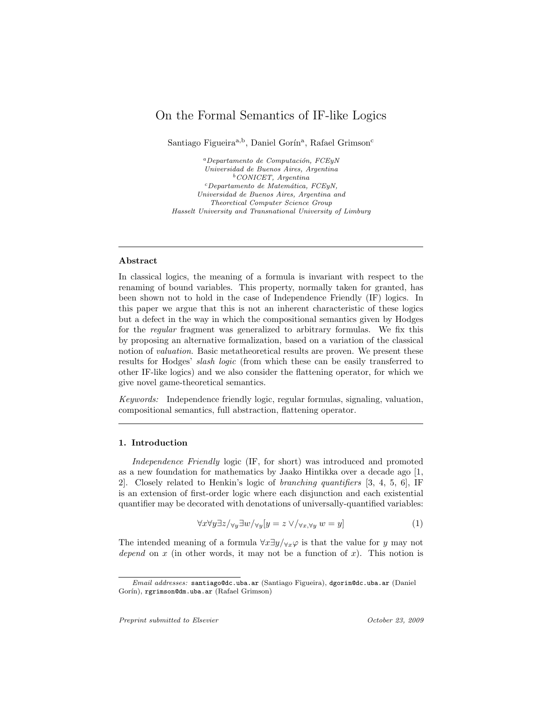# On the Formal Semantics of IF-like Logics

Santiago Figueira<sup>a,b</sup>, Daniel Gorín<sup>a</sup>, Rafael Grimson<sup>c</sup>

 $a$ Departamento de Computación, FCEyN Universidad de Buenos Aires, Argentina  $b$ CONICET, Argentina  $c$ Departamento de Matemática, FCEyN, Universidad de Buenos Aires, Argentina and Theoretical Computer Science Group Hasselt University and Transnational University of Limburg

#### Abstract

In classical logics, the meaning of a formula is invariant with respect to the renaming of bound variables. This property, normally taken for granted, has been shown not to hold in the case of Independence Friendly (IF) logics. In this paper we argue that this is not an inherent characteristic of these logics but a defect in the way in which the compositional semantics given by Hodges for the regular fragment was generalized to arbitrary formulas. We fix this by proposing an alternative formalization, based on a variation of the classical notion of valuation. Basic metatheoretical results are proven. We present these results for Hodges' slash logic (from which these can be easily transferred to other IF-like logics) and we also consider the flattening operator, for which we give novel game-theoretical semantics.

Keywords: Independence friendly logic, regular formulas, signaling, valuation, compositional semantics, full abstraction, flattening operator.

## 1. Introduction

Independence Friendly logic (IF, for short) was introduced and promoted as a new foundation for mathematics by Jaako Hintikka over a decade ago [1, 2]. Closely related to Henkin's logic of branching quantifiers [3, 4, 5, 6], IF is an extension of first-order logic where each disjunction and each existential quantifier may be decorated with denotations of universally-quantified variables:

$$
\forall x \forall y \exists z / \forall y \exists w / \forall y [y = z \lor / \forall x, \forall y w = y]
$$
\n
$$
(1)
$$

The intended meaning of a formula  $\forall x \exists y / \forall x \varphi$  is that the value for y may not depend on x (in other words, it may not be a function of x). This notion is

Email addresses: santiago@dc.uba.ar (Santiago Figueira), dgorin@dc.uba.ar (Daniel Gorín), rgrimson@dm.uba.ar (Rafael Grimson)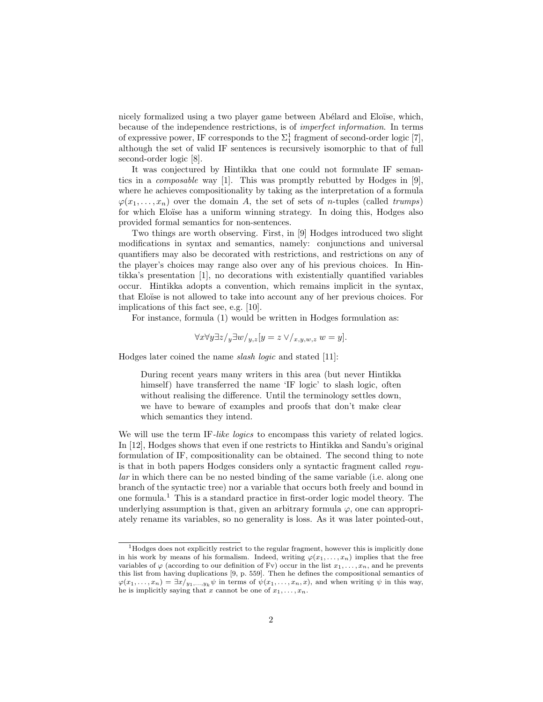nicely formalized using a two player game between Abélard and Eloïse, which, because of the independence restrictions, is of imperfect information. In terms of expressive power, IF corresponds to the  $\Sigma_1^1$  fragment of second-order logic [7], although the set of valid IF sentences is recursively isomorphic to that of full second-order logic [8].

It was conjectured by Hintikka that one could not formulate IF semantics in a composable way [1]. This was promptly rebutted by Hodges in [9], where he achieves compositionality by taking as the interpretation of a formula  $\varphi(x_1, \ldots, x_n)$  over the domain A, the set of sets of n-tuples (called trumps) for which Eloïse has a uniform winning strategy. In doing this, Hodges also provided formal semantics for non-sentences.

Two things are worth observing. First, in [9] Hodges introduced two slight modifications in syntax and semantics, namely: conjunctions and universal quantifiers may also be decorated with restrictions, and restrictions on any of the player's choices may range also over any of his previous choices. In Hintikka's presentation [1], no decorations with existentially quantified variables occur. Hintikka adopts a convention, which remains implicit in the syntax, that Eloïse is not allowed to take into account any of her previous choices. For implications of this fact see, e.g. [10].

For instance, formula (1) would be written in Hodges formulation as:

$$
\forall x \forall y \exists z / y \exists w / y, z [y = z \lor /_{x,y,w,z} w = y].
$$

Hodges later coined the name slash logic and stated [11]:

During recent years many writers in this area (but never Hintikka himself) have transferred the name 'IF logic' to slash logic, often without realising the difference. Until the terminology settles down, we have to beware of examples and proofs that don't make clear which semantics they intend.

We will use the term IF-like logics to encompass this variety of related logics. In [12], Hodges shows that even if one restricts to Hintikka and Sandu's original formulation of IF, compositionality can be obtained. The second thing to note is that in both papers Hodges considers only a syntactic fragment called regular in which there can be no nested binding of the same variable (i.e. along one branch of the syntactic tree) nor a variable that occurs both freely and bound in one formula.<sup>1</sup> This is a standard practice in first-order logic model theory. The underlying assumption is that, given an arbitrary formula  $\varphi$ , one can appropriately rename its variables, so no generality is loss. As it was later pointed-out,

<sup>&</sup>lt;sup>1</sup>Hodges does not explicitly restrict to the regular fragment, however this is implicitly done in his work by means of his formalism. Indeed, writing  $\varphi(x_1, \ldots, x_n)$  implies that the free variables of  $\varphi$  (according to our definition of Fv) occur in the list  $x_1, \ldots, x_n$ , and he prevents this list from having duplications [9, p. 559]. Then he defines the compositional semantics of  $\varphi(x_1,\ldots,x_n) = \exists x/y_1,\ldots,y_k \psi$  in terms of  $\psi(x_1,\ldots,x_n,x)$ , and when writing  $\psi$  in this way, he is implicitly saying that x cannot be one of  $x_1, \ldots, x_n$ .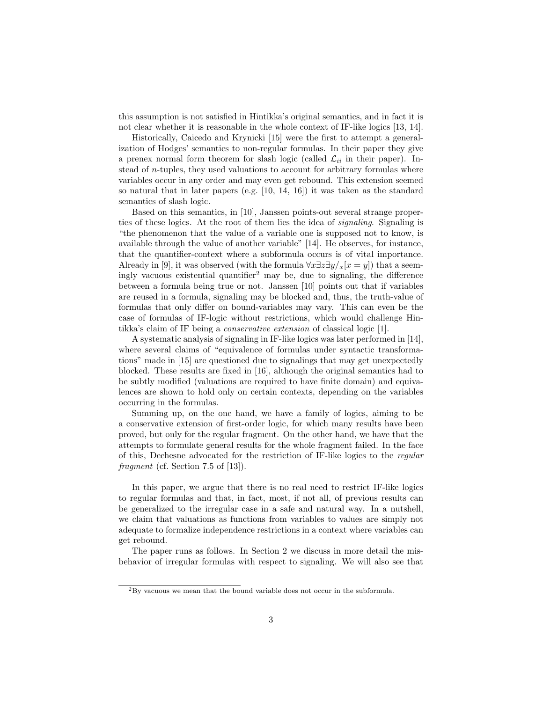this assumption is not satisfied in Hintikka's original semantics, and in fact it is not clear whether it is reasonable in the whole context of IF-like logics [13, 14].

Historically, Caicedo and Krynicki [15] were the first to attempt a generalization of Hodges' semantics to non-regular formulas. In their paper they give a prenex normal form theorem for slash logic (called  $\mathcal{L}_{ii}$  in their paper). Instead of n-tuples, they used valuations to account for arbitrary formulas where variables occur in any order and may even get rebound. This extension seemed so natural that in later papers (e.g. [10, 14, 16]) it was taken as the standard semantics of slash logic.

Based on this semantics, in [10], Janssen points-out several strange properties of these logics. At the root of them lies the idea of signaling. Signaling is "the phenomenon that the value of a variable one is supposed not to know, is available through the value of another variable" [14]. He observes, for instance, that the quantifier-context where a subformula occurs is of vital importance. Already in [9], it was observed (with the formula  $\forall x \exists z \exists y / x [x = y]$ ) that a seemingly vacuous existential quantifier<sup>2</sup> may be, due to signaling, the difference between a formula being true or not. Janssen [10] points out that if variables are reused in a formula, signaling may be blocked and, thus, the truth-value of formulas that only differ on bound-variables may vary. This can even be the case of formulas of IF-logic without restrictions, which would challenge Hintikka's claim of IF being a conservative extension of classical logic [1].

A systematic analysis of signaling in IF-like logics was later performed in [14], where several claims of "equivalence of formulas under syntactic transformations" made in [15] are questioned due to signalings that may get unexpectedly blocked. These results are fixed in [16], although the original semantics had to be subtly modified (valuations are required to have finite domain) and equivalences are shown to hold only on certain contexts, depending on the variables occurring in the formulas.

Summing up, on the one hand, we have a family of logics, aiming to be a conservative extension of first-order logic, for which many results have been proved, but only for the regular fragment. On the other hand, we have that the attempts to formulate general results for the whole fragment failed. In the face of this, Dechesne advocated for the restriction of IF-like logics to the regular fragment (cf. Section 7.5 of  $[13]$ ).

In this paper, we argue that there is no real need to restrict IF-like logics to regular formulas and that, in fact, most, if not all, of previous results can be generalized to the irregular case in a safe and natural way. In a nutshell, we claim that valuations as functions from variables to values are simply not adequate to formalize independence restrictions in a context where variables can get rebound.

The paper runs as follows. In Section 2 we discuss in more detail the misbehavior of irregular formulas with respect to signaling. We will also see that

<sup>2</sup>By vacuous we mean that the bound variable does not occur in the subformula.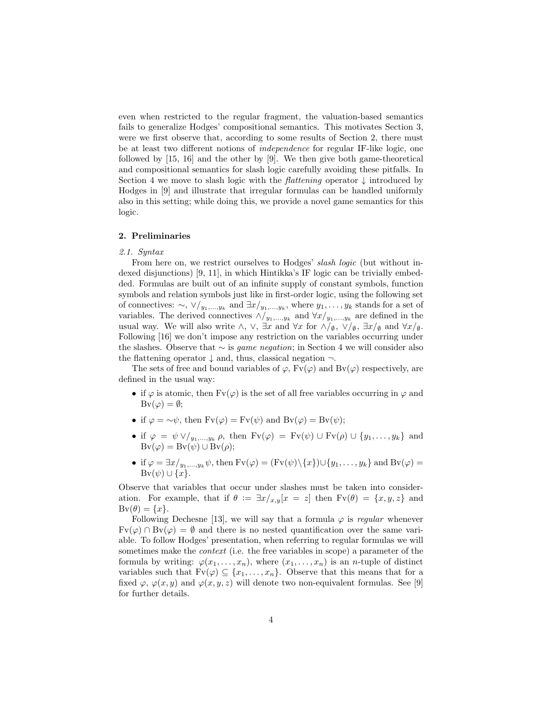even when restricted to the regular fragment, the valuation-based semantics fails to generalize Hodges' compositional semantics. This motivates Section 3, were we first observe that, according to some results of Section 2, there must be at least two different notions of independence for regular IF-like logic, one followed by [15, 16] and the other by [9]. We then give both game-theoretical and compositional semantics for slash logic carefully avoiding these pitfalls. In Section 4 we move to slash logic with the *flattening* operator  $\downarrow$  introduced by Hodges in [9] and illustrate that irregular formulas can be handled uniformly also in this setting; while doing this, we provide a novel game semantics for this logic.

#### 2. Preliminaries

#### 2.1. Syntax

From here on, we restrict ourselves to Hodges' *slash logic* (but without indexed disjunctions) [9, 11], in which Hintikka's IF logic can be trivially embedded. Formulas are built out of an infinite supply of constant symbols, function symbols and relation symbols just like in first-order logic, using the following set of connectives:  $\sim$ ,  $\vee/_{y_1,...,y_k}$  and  $\exists x/_{y_1,...,y_k}$ , where  $y_1,...,y_k$  stands for a set of variables. The derived connectives  $\wedge/_{y_1,\dots,y_k}$  and  $\forall x/_{y_1,\dots,y_k}$  are defined in the usual way. We will also write  $\wedge$ ,  $\vee$ ,  $\exists x$  and  $\forall x$  for  $\wedge/\emptyset$ ,  $\forall/\emptyset$ ,  $\exists x/\emptyset$  and  $\forall x/\emptyset$ . Following [16] we don't impose any restriction on the variables occurring under the slashes. Observe that  $\sim$  is *game negation*; in Section 4 we will consider also the flattening operator  $\downarrow$  and, thus, classical negation  $\neg$ .

The sets of free and bound variables of  $\varphi$ ,  $Fv(\varphi)$  and  $Bv(\varphi)$  respectively, are defined in the usual way:

- if  $\varphi$  is atomic, then  $Fv(\varphi)$  is the set of all free variables occurring in  $\varphi$  and  $Bv(\varphi) = \emptyset;$
- if  $\varphi = \neg \psi$ , then  $Fv(\varphi) = Fv(\psi)$  and  $Bv(\varphi) = Bv(\psi)$ ;
- if  $\varphi = \psi \vee_{y_1,\ldots,y_k} \rho$ , then  $Fv(\varphi) = Fv(\psi) \cup Fv(\rho) \cup \{y_1,\ldots,y_k\}$  and  $Bv(\varphi) = Bv(\psi) \cup Bv(\rho);$
- if  $\varphi = \exists x/y_1,...,y_k \psi$ , then  $Fv(\varphi) = (Fv(\psi)\setminus \{x\}) \cup \{y_1,...,y_k\}$  and  $Bv(\varphi) =$  $\text{Bv}(\psi) \cup \{x\}.$

Observe that variables that occur under slashes must be taken into consideration. For example, that if  $\theta := \exists x /_{x,y}[x = z]$  then  $Fv(\theta) = \{x, y, z\}$  and  $Bv(\theta) = \{x\}.$ 

Following Dechesne [13], we will say that a formula  $\varphi$  is regular whenever  $Fv(\varphi) \cap Bv(\varphi) = \emptyset$  and there is no nested quantification over the same variable. To follow Hodges' presentation, when referring to regular formulas we will sometimes make the *context* (i.e. the free variables in scope) a parameter of the formula by writing:  $\varphi(x_1,\ldots,x_n)$ , where  $(x_1,\ldots,x_n)$  is an *n*-tuple of distinct variables such that  $F_v(\varphi) \subseteq \{x_1, \ldots, x_n\}$ . Observe that this means that for a fixed  $\varphi$ ,  $\varphi(x, y)$  and  $\varphi(x, y, z)$  will denote two non-equivalent formulas. See [9] for further details.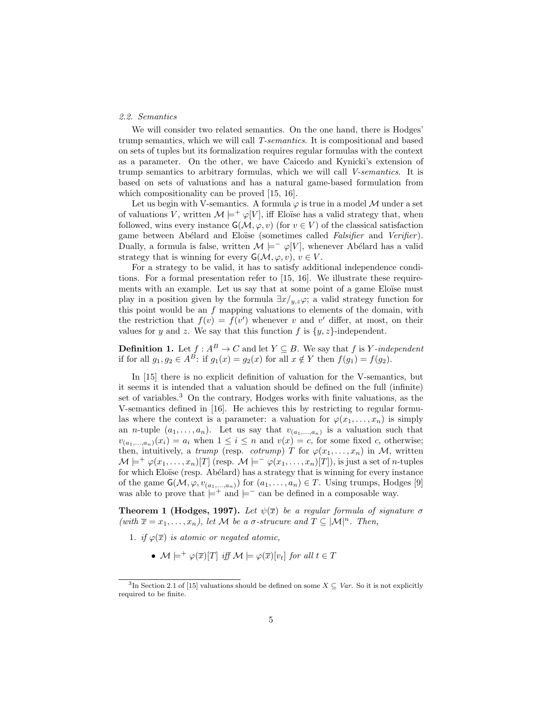# 2.2. Semantics

We will consider two related semantics. On the one hand, there is Hodges' trump semantics, which we will call T-semantics. It is compositional and based on sets of tuples but its formalization requires regular formulas with the context as a parameter. On the other, we have Caicedo and Kynicki's extension of trump semantics to arbitrary formulas, which we will call V-semantics. It is based on sets of valuations and has a natural game-based formulation from which compositionality can be proved [15, 16].

Let us begin with V-semantics. A formula  $\varphi$  is true in a model M under a set of valuations V, written  $\mathcal{M} \models^+ \varphi[V]$ , iff Eloïse has a valid strategy that, when followed, wins every instance  $\mathsf{G}(\mathcal{M}, \varphi, v)$  (for  $v \in V$ ) of the classical satisfaction game between Abélard and Eloïse (sometimes called *Falsifier* and *Verifier*). Dually, a formula is false, written  $\mathcal{M} \models^- \varphi[V]$ , whenever Abélard has a valid strategy that is winning for every  $G(\mathcal{M}, \varphi, v), v \in V$ .

For a strategy to be valid, it has to satisfy additional independence conditions. For a formal presentation refer to [15, 16]. We illustrate these requirements with an example. Let us say that at some point of a game Eloïse must play in a position given by the formula  $\exists x/y, z\varphi$ ; a valid strategy function for this point would be an  $f$  mapping valuations to elements of the domain, with the restriction that  $f(v) = f(v')$  whenever v and v' differ, at most, on their values for y and z. We say that this function f is  $\{y, z\}$ -independent.

**Definition 1.** Let  $f : A^B \to C$  and let  $Y \subseteq B$ . We say that f is Y-independent if for all  $g_1, g_2 \in A^B$ : if  $g_1(x) = g_2(x)$  for all  $x \notin Y$  then  $f(g_1) = f(g_2)$ .

In [15] there is no explicit definition of valuation for the V-semantics, but it seems it is intended that a valuation should be defined on the full (infinite) set of variables.<sup>3</sup> On the contrary, Hodges works with finite valuations, as the V-semantics defined in [16]. He achieves this by restricting to regular formulas where the context is a parameter: a valuation for  $\varphi(x_1, \ldots, x_n)$  is simply an *n*-tuple  $(a_1, \ldots, a_n)$ . Let us say that  $v_{(a_1, \ldots, a_n)}$  is a valuation such that  $v_{(a_1,...,a_n)}(x_i) = a_i$  when  $1 \leq i \leq n$  and  $v(x) = c$ , for some fixed c, otherwise; then, intuitively, a trump (resp. cotrump) T for  $\varphi(x_1, \ldots, x_n)$  in M, written  $\mathcal{M} \models^+ \varphi(x_1,\ldots,x_n)[T]$  (resp.  $\mathcal{M} \models^- \varphi(x_1,\ldots,x_n)[T]$ ), is just a set of *n*-tuples for which Eloïse (resp. Abélard) has a strategy that is winning for every instance of the game  $G(\mathcal{M}, \varphi, v_{(a_1,...,a_n)})$  for  $(a_1,..., a_n) \in T$ . Using trumps, Hodges [9] was able to prove that  $\models^+$  and  $\models^-$  can be defined in a composable way.

**Theorem 1 (Hodges, 1997).** Let  $\psi(\overline{x})$  be a regular formula of signature  $\sigma$ (with  $\bar{x} = x_1, \ldots, x_n$ ), let M be a  $\sigma$ -strucure and  $T \subseteq |\mathcal{M}|^n$ . Then,

- 1. if  $\varphi(\overline{x})$  is atomic or negated atomic,
	- $\mathcal{M} \models^+ \varphi(\overline{x})[T]$  iff  $\mathcal{M} \models \varphi(\overline{x})[v_t]$  for all  $t \in T$

<sup>&</sup>lt;sup>3</sup>In Section 2.1 of [15] valuations should be defined on some  $X \subseteq Var$ . So it is not explicitly required to be finite.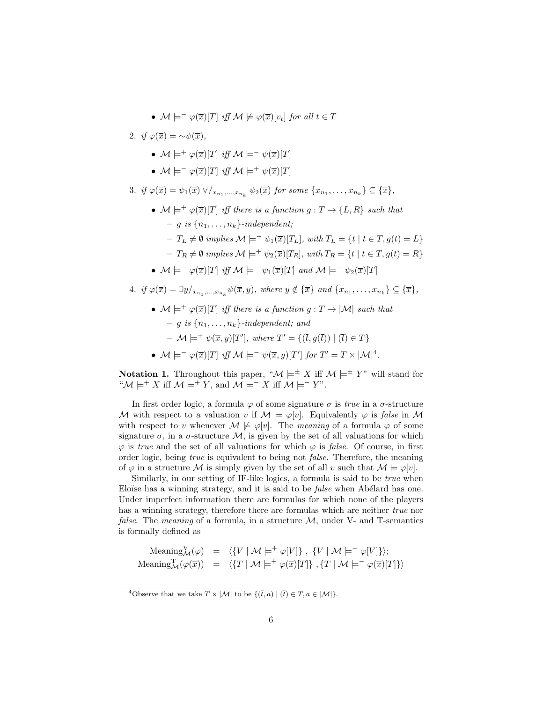•  $\mathcal{M} \models^{\perp} \varphi(\overline{x})[T]$  iff  $\mathcal{M} \not\models \varphi(\overline{x})[v_t]$  for all  $t \in T$ 

2. if  $\varphi(\overline{x}) = \sim \psi(\overline{x}),$ 

- $\mathcal{M} \models^+ \varphi(\overline{x})[T]$  iff  $\mathcal{M} \models^- \psi(\overline{x})[T]$
- $\mathcal{M} \models^- \varphi(\overline{x})[T]$  iff  $\mathcal{M} \models^+ \psi(\overline{x})[T]$
- 3. if  $\varphi(\overline{x}) = \psi_1(\overline{x}) \vee \langle x_{n_1}, \dots, x_{n_k} \psi_2(\overline{x}) \text{ for some } \{x_{n_1}, \dots, x_{n_k}\} \subseteq \{\overline{x}\},\$ 
	- $\mathcal{M} \models^+ \varphi(\overline{x})[T]$  iff there is a function  $g: T \to \{L, R\}$  such that  $- q$  is  ${n_1, \ldots, n_k}$ -independent;
		- $-T_L \neq \emptyset$  implies  $\mathcal{M} \models^+ \psi_1(\overline{x})[T_L]$ , with  $T_L = \{t \mid t \in T, q(t) = L\}$
		- $-T_R \neq \emptyset$  implies  $\mathcal{M} \models^+ \psi_2(\overline{x})[T_R]$ , with  $T_R = \{t \mid t \in T, g(t) = R\}$
	- $M \models^- \varphi(\overline{x})[T]$  iff  $M \models^- \psi_1(\overline{x})[T]$  and  $M \models^- \psi_2(\overline{x})[T]$
- 4. if  $\varphi(\overline{x}) = \exists y/_{x_{n_1},...,x_{n_k}} \psi(\overline{x}, y)$ , where  $y \notin {\overline{x}}$  and  $\{x_{n_1},...,x_{n_k}\} \subseteq {\overline{x}}$ ,
	- $M \models^+ \varphi(\overline{x})[T]$  iff there is a function  $g: T \to |M|$  such that  $- q$  is  ${n_1, \ldots, n_k}$ -independent; and  $-\mathcal{M} \models^+ \psi(\overline{x}, y)[T'],$  where  $T' = \{(\overline{t}, g(\overline{t})) | (\overline{t}) \in T\}$
	- $\mathcal{M} \models^- \varphi(\overline{x})[T]$  iff  $\mathcal{M} \models^- \psi(\overline{x}, y)[T']$  for  $T' = T \times |\mathcal{M}|^4$ .

**Notation 1.** Throughout this paper, " $\mathcal{M} \models^{\pm} X$  iff  $\mathcal{M} \models^{\pm} Y$ " will stand for " $\mathcal{M} \models^+ X$  iff  $\mathcal{M} \models^+ Y$ , and  $\mathcal{M} \models^- X$  iff  $\mathcal{M} \models^- Y$ ".

In first order logic, a formula  $\varphi$  of some signature  $\sigma$  is *true* in a  $\sigma$ -structure M with respect to a valuation v if  $M \models \varphi[v]$ . Equivalently  $\varphi$  is false in M with respect to v whenever  $\mathcal{M} \not\models \varphi[v]$ . The meaning of a formula  $\varphi$  of some signature  $\sigma$ , in a  $\sigma$ -structure  $\mathcal{M}$ , is given by the set of all valuations for which  $\varphi$  is true and the set of all valuations for which  $\varphi$  is false. Of course, in first order logic, being true is equivalent to being not false. Therefore, the meaning of  $\varphi$  in a structure M is simply given by the set of all v such that  $M \models \varphi[v]$ .

Similarly, in our setting of IF-like logics, a formula is said to be *true* when Eloïse has a winning strategy, and it is said to be *false* when Abélard has one. Under imperfect information there are formulas for which none of the players has a winning strategy, therefore there are formulas which are neither true nor *false.* The *meaning* of a formula, in a structure  $M$ , under V- and T-semantics is formally defined as

Meaning<sub>M</sub>
$$
(\varphi)
$$
 =  $\langle \{V | M \models^+ \varphi[V] \}, \{V | M \models^- \varphi[V] \} \rangle$ ;  
Meaning<sub>M</sub> $(\varphi(\overline{x}))$  =  $\langle \{T | M \models^+ \varphi(\overline{x})[T] \}, \{T | M \models^- \varphi(\overline{x})[T] \} \rangle$ 

<sup>&</sup>lt;sup>4</sup>Observe that we take  $T \times |\mathcal{M}|$  to be  $\{(\bar{t}, a) | (\bar{t}) \in T, a \in |\mathcal{M}|\}.$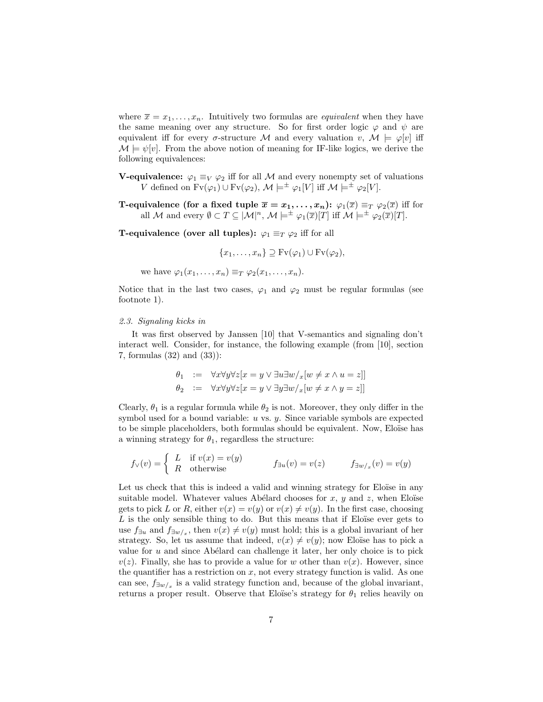where  $\bar{x} = x_1, \ldots, x_n$ . Intuitively two formulas are *equivalent* when they have the same meaning over any structure. So for first order logic  $\varphi$  and  $\psi$  are equivalent iff for every  $\sigma$ -structure M and every valuation  $v, M \models \varphi[v]$  iff  $\mathcal{M} \models \psi[v]$ . From the above notion of meaning for IF-like logics, we derive the following equivalences:

- **V-equivalence:**  $\varphi_1 \equiv_V \varphi_2$  iff for all M and every nonempty set of valuations V defined on  $Fv(\varphi_1) \cup Fv(\varphi_2)$ ,  $\mathcal{M} \models^{\pm} \varphi_1[V]$  iff  $\mathcal{M} \models^{\pm} \varphi_2[V]$ .
- **T-equivalence (for a fixed tuple**  $\overline{x} = x_1, \ldots, x_n$ **):**  $\varphi_1(\overline{x}) \equiv_T \varphi_2(\overline{x})$  iff for all M and every  $\emptyset \subset T \subseteq \mathcal{M}|^n$ ,  $\mathcal{M} \models^{\pm} \varphi_1(\overline{x})[T]$  iff  $\mathcal{M} \models^{\pm} \varphi_2(\overline{x})[T]$ .

**T-equivalence (over all tuples):**  $\varphi_1 \equiv_T \varphi_2$  iff for all

$$
\{x_1, \ldots, x_n\} \supseteq \text{Fv}(\varphi_1) \cup \text{Fv}(\varphi_2),
$$

we have  $\varphi_1(x_1,\ldots,x_n) \equiv_T \varphi_2(x_1,\ldots,x_n)$ .

Notice that in the last two cases,  $\varphi_1$  and  $\varphi_2$  must be regular formulas (see footnote 1).

### 2.3. Signaling kicks in

It was first observed by Janssen [10] that V-semantics and signaling don't interact well. Consider, for instance, the following example (from [10], section 7, formulas (32) and (33)):

$$
\theta_1 := \forall x \forall y \forall z [x = y \lor \exists u \exists w /_{x} [w \neq x \land u = z]]
$$
  

$$
\theta_2 := \forall x \forall y \forall z [x = y \lor \exists y \exists w /_{x} [w \neq x \land y = z]]
$$

Clearly,  $\theta_1$  is a regular formula while  $\theta_2$  is not. Moreover, they only differ in the symbol used for a bound variable:  $u$  vs.  $y$ . Since variable symbols are expected to be simple placeholders, both formulas should be equivalent. Now, Eloïse has a winning strategy for  $\theta_1$ , regardless the structure:

$$
f_{\vee}(v) = \begin{cases} L & \text{if } v(x) = v(y) \\ R & \text{otherwise} \end{cases} \qquad f_{\exists u}(v) = v(z) \qquad f_{\exists w/x}(v) = v(y)
$$

Let us check that this is indeed a valid and winning strategy for Eloïse in any suitable model. Whatever values Abélard chooses for x, y and z, when Eloïse gets to pick L or R, either  $v(x) = v(y)$  or  $v(x) \neq v(y)$ . In the first case, choosing  $L$  is the only sensible thing to do. But this means that if Eloïse ever gets to use  $f_{\exists u}$  and  $f_{\exists w/x}$ , then  $v(x) \neq v(y)$  must hold; this is a global invariant of her strategy. So, let us assume that indeed,  $v(x) \neq v(y)$ ; now Eloïse has to pick a value for  $u$  and since Abélard can challenge it later, her only choice is to pick  $v(z)$ . Finally, she has to provide a value for w other than  $v(x)$ . However, since the quantifier has a restriction on  $x$ , not every strategy function is valid. As one can see,  $f_{\exists w/x}$  is a valid strategy function and, because of the global invariant, returns a proper result. Observe that Eloïse's strategy for  $\theta_1$  relies heavily on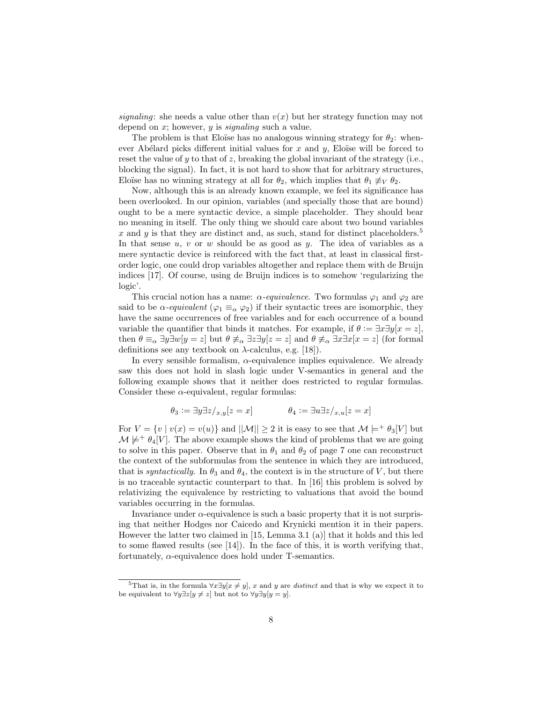signaling: she needs a value other than  $v(x)$  but her strategy function may not depend on  $x$ ; however,  $y$  is *signaling* such a value.

The problem is that Eloïse has no analogous winning strategy for  $\theta_2$ : whenever Abélard picks different initial values for  $x$  and  $y$ , Eloïse will be forced to reset the value of y to that of z, breaking the global invariant of the strategy (i.e., blocking the signal). In fact, it is not hard to show that for arbitrary structures, Eloïse has no winning strategy at all for  $\theta_2$ , which implies that  $\theta_1 \not\equiv_V \theta_2$ .

Now, although this is an already known example, we feel its significance has been overlooked. In our opinion, variables (and specially those that are bound) ought to be a mere syntactic device, a simple placeholder. They should bear no meaning in itself. The only thing we should care about two bound variables x and y is that they are distinct and, as such, stand for distinct placeholders.<sup>5</sup> In that sense  $u, v$  or  $w$  should be as good as  $y$ . The idea of variables as a mere syntactic device is reinforced with the fact that, at least in classical firstorder logic, one could drop variables altogether and replace them with de Bruijn indices [17]. Of course, using de Bruijn indices is to somehow 'regularizing the logic'.

This crucial notion has a name:  $\alpha$ -equivalence. Two formulas  $\varphi_1$  and  $\varphi_2$  are said to be  $\alpha$ -equivalent ( $\varphi_1 \equiv_\alpha \varphi_2$ ) if their syntactic trees are isomorphic, they have the same occurrences of free variables and for each occurrence of a bound variable the quantifier that binds it matches. For example, if  $\theta := \exists x \exists y [x = z]$ , then  $\theta \equiv_{\alpha} \exists y \exists w[y = z]$  but  $\theta \not\equiv_{\alpha} \exists z \exists y[z = z]$  and  $\theta \not\equiv_{\alpha} \exists x \exists x[x = z]$  (for formal definitions see any textbook on  $\lambda$ -calculus, e.g. [18]).

In every sensible formalism,  $\alpha$ -equivalence implies equivalence. We already saw this does not hold in slash logic under V-semantics in general and the following example shows that it neither does restricted to regular formulas. Consider these  $\alpha$ -equivalent, regular formulas:

$$
\theta_3 := \exists y \exists z /_{x,y} [z = x] \qquad \qquad \theta_4 := \exists u \exists z /_{x,y} [z = x]
$$

For  $V = \{v \mid v(x) = v(u)\}\$ and  $||\mathcal{M}|| \geq 2$  it is easy to see that  $\mathcal{M} \models^+ \theta_3[V]$  but  $\mathcal{M} \not\models^+ \theta_4[V]$ . The above example shows the kind of problems that we are going to solve in this paper. Observe that in  $\theta_1$  and  $\theta_2$  of page 7 one can reconstruct the context of the subformulas from the sentence in which they are introduced, that is *syntactically*. In  $\theta_3$  and  $\theta_4$ , the context is in the structure of V, but there is no traceable syntactic counterpart to that. In [16] this problem is solved by relativizing the equivalence by restricting to valuations that avoid the bound variables occurring in the formulas.

Invariance under  $\alpha$ -equivalence is such a basic property that it is not surprising that neither Hodges nor Caicedo and Krynicki mention it in their papers. However the latter two claimed in [15, Lemma 3.1 (a)] that it holds and this led to some flawed results (see [14]). In the face of this, it is worth verifying that, fortunately,  $\alpha$ -equivalence does hold under T-semantics.

<sup>&</sup>lt;sup>5</sup>That is, in the formula  $\forall x \exists y [x \neq y]$ , x and y are *distinct* and that is why we expect it to be equivalent to  $\forall y \exists z [y \neq z]$  but not to  $\forall y \exists y [y = y]$ .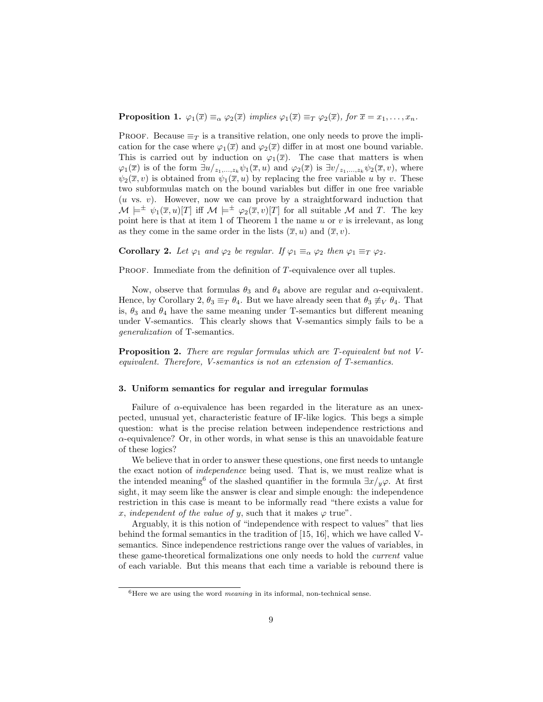**Proposition 1.**  $\varphi_1(\overline{x}) \equiv_\alpha \varphi_2(\overline{x})$  implies  $\varphi_1(\overline{x}) \equiv_T \varphi_2(\overline{x})$ , for  $\overline{x} = x_1, \ldots, x_n$ .

PROOF. Because  $\equiv_T$  is a transitive relation, one only needs to prove the implication for the case where  $\varphi_1(\overline{x})$  and  $\varphi_2(\overline{x})$  differ in at most one bound variable. This is carried out by induction on  $\varphi_1(\overline{x})$ . The case that matters is when  $\varphi_1(\overline{x})$  is of the form  $\exists u/_{z_1,\ldots,z_k} \psi_1(\overline{x}, u)$  and  $\varphi_2(\overline{x})$  is  $\exists v/_{z_1,\ldots,z_k} \psi_2(\overline{x}, v)$ , where  $\psi_2(\overline{x}, v)$  is obtained from  $\psi_1(\overline{x}, u)$  by replacing the free variable u by v. These two subformulas match on the bound variables but differ in one free variable  $(u \text{ vs. } v)$ . However, now we can prove by a straightforward induction that  $\mathcal{M} \models^{\pm} \psi_1(\overline{x}, u)[T]$  iff  $\mathcal{M} \models^{\pm} \varphi_2(\overline{x}, v)[T]$  for all suitable  $\mathcal{M}$  and T. The key point here is that at item 1 of Theorem 1 the name  $u$  or  $v$  is irrelevant, as long as they come in the same order in the lists  $(\overline{x}, u)$  and  $(\overline{x}, v)$ .

**Corollary 2.** Let  $\varphi_1$  and  $\varphi_2$  be regular. If  $\varphi_1 \equiv_{\alpha} \varphi_2$  then  $\varphi_1 \equiv_T \varphi_2$ .

PROOF. Immediate from the definition of T-equivalence over all tuples.

Now, observe that formulas  $\theta_3$  and  $\theta_4$  above are regular and  $\alpha$ -equivalent. Hence, by Corollary 2,  $\theta_3 \equiv_T \theta_4$ . But we have already seen that  $\theta_3 \not\equiv_V \theta_4$ . That is,  $\theta_3$  and  $\theta_4$  have the same meaning under T-semantics but different meaning under V-semantics. This clearly shows that V-semantics simply fails to be a generalization of T-semantics.

Proposition 2. There are regular formulas which are T-equivalent but not Vequivalent. Therefore, V-semantics is not an extension of T-semantics.

#### 3. Uniform semantics for regular and irregular formulas

Failure of  $\alpha$ -equivalence has been regarded in the literature as an unexpected, unusual yet, characteristic feature of IF-like logics. This begs a simple question: what is the precise relation between independence restrictions and  $\alpha$ -equivalence? Or, in other words, in what sense is this an unavoidable feature of these logics?

We believe that in order to answer these questions, one first needs to untangle the exact notion of independence being used. That is, we must realize what is the intended meaning<sup>6</sup> of the slashed quantifier in the formula  $\exists x/y\varphi$ . At first sight, it may seem like the answer is clear and simple enough: the independence restriction in this case is meant to be informally read "there exists a value for x, independent of the value of y, such that it makes  $\varphi$  true".

Arguably, it is this notion of "independence with respect to values" that lies behind the formal semantics in the tradition of [15, 16], which we have called Vsemantics. Since independence restrictions range over the values of variables, in these game-theoretical formalizations one only needs to hold the current value of each variable. But this means that each time a variable is rebound there is

 ${}^{6}$ Here we are using the word *meaning* in its informal, non-technical sense.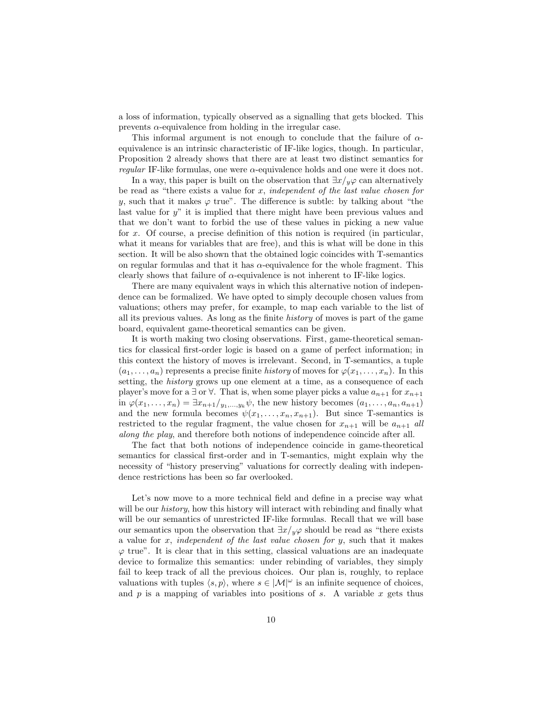a loss of information, typically observed as a signalling that gets blocked. This prevents  $\alpha$ -equivalence from holding in the irregular case.

This informal argument is not enough to conclude that the failure of  $\alpha$ equivalence is an intrinsic characteristic of IF-like logics, though. In particular, Proposition 2 already shows that there are at least two distinct semantics for regular IF-like formulas, one were  $\alpha$ -equivalence holds and one were it does not.

In a way, this paper is built on the observation that  $\exists x/y\varphi$  can alternatively be read as "there exists a value for  $x$ , independent of the last value chosen for y, such that it makes  $\varphi$  true". The difference is subtle: by talking about "the last value for  $y''$  it is implied that there might have been previous values and that we don't want to forbid the use of these values in picking a new value for x. Of course, a precise definition of this notion is required (in particular, what it means for variables that are free), and this is what will be done in this section. It will be also shown that the obtained logic coincides with T-semantics on regular formulas and that it has  $\alpha$ -equivalence for the whole fragment. This clearly shows that failure of  $\alpha$ -equivalence is not inherent to IF-like logics.

There are many equivalent ways in which this alternative notion of independence can be formalized. We have opted to simply decouple chosen values from valuations; others may prefer, for example, to map each variable to the list of all its previous values. As long as the finite history of moves is part of the game board, equivalent game-theoretical semantics can be given.

It is worth making two closing observations. First, game-theoretical semantics for classical first-order logic is based on a game of perfect information; in this context the history of moves is irrelevant. Second, in T-semantics, a tuple  $(a_1, \ldots, a_n)$  represents a precise finite history of moves for  $\varphi(x_1, \ldots, x_n)$ . In this setting, the history grows up one element at a time, as a consequence of each player's move for a  $\exists$  or  $\forall$ . That is, when some player picks a value  $a_{n+1}$  for  $x_{n+1}$ in  $\varphi(x_1,\ldots,x_n) = \exists x_{n+1}/y_1,\ldots,y_k \psi$ , the new history becomes  $(a_1,\ldots,a_n,a_{n+1})$ and the new formula becomes  $\psi(x_1, \ldots, x_n, x_{n+1})$ . But since T-semantics is restricted to the regular fragment, the value chosen for  $x_{n+1}$  will be  $a_{n+1}$  all along the play, and therefore both notions of independence coincide after all.

The fact that both notions of independence coincide in game-theoretical semantics for classical first-order and in T-semantics, might explain why the necessity of "history preserving" valuations for correctly dealing with independence restrictions has been so far overlooked.

Let's now move to a more technical field and define in a precise way what will be our *history*, how this history will interact with rebinding and finally what will be our semantics of unrestricted IF-like formulas. Recall that we will base our semantics upon the observation that  $\exists x/y \varphi$  should be read as "there exists a value for  $x$ , independent of the last value chosen for  $y$ , such that it makes  $\varphi$  true". It is clear that in this setting, classical valuations are an inadequate device to formalize this semantics: under rebinding of variables, they simply fail to keep track of all the previous choices. Our plan is, roughly, to replace valuations with tuples  $\langle s, p \rangle$ , where  $s \in |\mathcal{M}|^{\omega}$  is an infinite sequence of choices, and  $p$  is a mapping of variables into positions of  $s$ . A variable  $x$  gets thus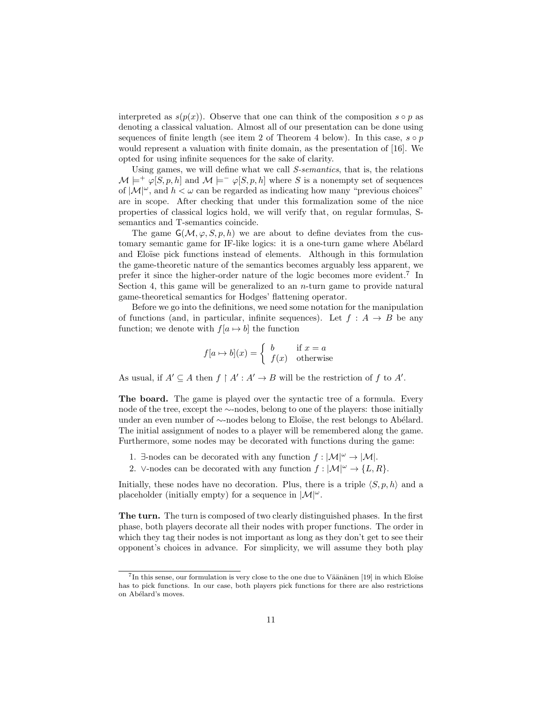interpreted as  $s(p(x))$ . Observe that one can think of the composition  $s \circ p$  as denoting a classical valuation. Almost all of our presentation can be done using sequences of finite length (see item 2 of Theorem 4 below). In this case,  $s \circ p$ would represent a valuation with finite domain, as the presentation of [16]. We opted for using infinite sequences for the sake of clarity.

Using games, we will define what we call S-semantics, that is, the relations  $\mathcal{M} \models^+ \varphi[S, p, h]$  and  $\mathcal{M} \models^- \varphi[S, p, h]$  where S is a nonempty set of sequences of  $|M|^{\omega}$ , and  $h < \omega$  can be regarded as indicating how many "previous choices" are in scope. After checking that under this formalization some of the nice properties of classical logics hold, we will verify that, on regular formulas, Ssemantics and T-semantics coincide.

The game  $G(\mathcal{M}, \varphi, S, p, h)$  we are about to define deviates from the customary semantic game for IF-like logics: it is a one-turn game where Abélard and Eloïse pick functions instead of elements. Although in this formulation the game-theoretic nature of the semantics becomes arguably less apparent, we prefer it since the higher-order nature of the logic becomes more evident.<sup>7</sup> In Section 4, this game will be generalized to an  $n$ -turn game to provide natural game-theoretical semantics for Hodges' flattening operator.

Before we go into the definitions, we need some notation for the manipulation of functions (and, in particular, infinite sequences). Let  $f : A \rightarrow B$  be any function; we denote with  $f[a \mapsto b]$  the function

$$
f[a \mapsto b](x) = \begin{cases} b & \text{if } x = a \\ f(x) & \text{otherwise} \end{cases}
$$

As usual, if  $A' \subseteq A$  then  $f \restriction A' : A' \to B$  will be the restriction of f to A'.

The board. The game is played over the syntactic tree of a formula. Every node of the tree, except the ∼-nodes, belong to one of the players: those initially under an even number of ∼-nodes belong to Eloïse, the rest belongs to Abélard. The initial assignment of nodes to a player will be remembered along the game. Furthermore, some nodes may be decorated with functions during the game:

- 1.  $\exists$ -nodes can be decorated with any function  $f : |\mathcal{M}|^{\omega} \to |\mathcal{M}|$ .
- 2. ∨-nodes can be decorated with any function  $f : |\mathcal{M}|^{\omega} \to \{L, R\}.$

Initially, these nodes have no decoration. Plus, there is a triple  $\langle S, p, h \rangle$  and a placeholder (initially empty) for a sequence in  $|\mathcal{M}|^{\omega}$ .

The turn. The turn is composed of two clearly distinguished phases. In the first phase, both players decorate all their nodes with proper functions. The order in which they tag their nodes is not important as long as they don't get to see their opponent's choices in advance. For simplicity, we will assume they both play

 $7$ In this sense, our formulation is very close to the one due to Väänänen [19] in which Eloïse has to pick functions. In our case, both players pick functions for there are also restrictions on Abélard's moves.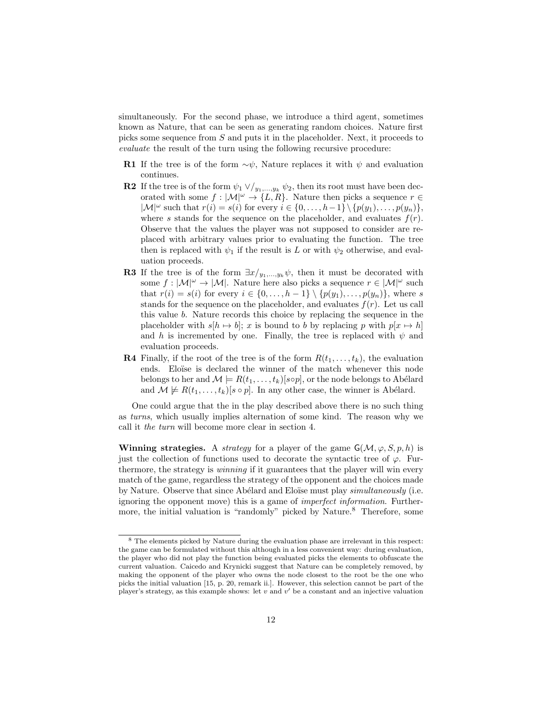simultaneously. For the second phase, we introduce a third agent, sometimes known as Nature, that can be seen as generating random choices. Nature first picks some sequence from S and puts it in the placeholder. Next, it proceeds to evaluate the result of the turn using the following recursive procedure:

- **R1** If the tree is of the form  $\sim \psi$ , Nature replaces it with  $\psi$  and evaluation continues.
- **R2** If the tree is of the form  $\psi_1 \vee \! /_{y_1,\ldots,y_k} \psi_2$ , then its root must have been decorated with some  $f : |\mathcal{M}|^{\omega} \to \{L, R\}$ . Nature then picks a sequence  $r \in$  $|\mathcal{M}|^{\omega}$  such that  $r(i) = s(i)$  for every  $i \in \{0, \ldots, h-1\} \setminus \{p(y_1), \ldots, p(y_n)\},$ where s stands for the sequence on the placeholder, and evaluates  $f(r)$ . Observe that the values the player was not supposed to consider are replaced with arbitrary values prior to evaluating the function. The tree then is replaced with  $\psi_1$  if the result is L or with  $\psi_2$  otherwise, and evaluation proceeds.
- **R3** If the tree is of the form  $\exists x/y_1,...,y_k \psi$ , then it must be decorated with some  $f : |\mathcal{M}|^{\omega} \to |\mathcal{M}|$ . Nature here also picks a sequence  $r \in |\mathcal{M}|^{\omega}$  such that  $r(i) = s(i)$  for every  $i \in \{0, \ldots, h-1\} \setminus \{p(y_1), \ldots, p(y_n)\}\)$ , where s stands for the sequence on the placeholder, and evaluates  $f(r)$ . Let us call this value b. Nature records this choice by replacing the sequence in the placeholder with  $s[h \mapsto b]$ ; x is bound to b by replacing p with  $p[x \mapsto h]$ and h is incremented by one. Finally, the tree is replaced with  $\psi$  and evaluation proceeds.
- **R4** Finally, if the root of the tree is of the form  $R(t_1, \ldots, t_k)$ , the evaluation ends. Eloïse is declared the winner of the match whenever this node belongs to her and  $\mathcal{M} \models R(t_1, \ldots, t_k)[s \circ p]$ , or the node belongs to Abélard and  $\mathcal{M} \not\models R(t_1, \ldots, t_k)[s \circ p]$ . In any other case, the winner is Abélard.

One could argue that the in the play described above there is no such thing as turns, which usually implies alternation of some kind. The reason why we call it the turn will become more clear in section 4.

Winning strategies. A *strategy* for a player of the game  $G(\mathcal{M}, \varphi, S, p, h)$  is just the collection of functions used to decorate the syntactic tree of  $\varphi$ . Furthermore, the strategy is winning if it guarantees that the player will win every match of the game, regardless the strategy of the opponent and the choices made by Nature. Observe that since Abélard and Eloïse must play *simultaneously* (i.e. ignoring the opponent move) this is a game of imperfect information. Furthermore, the initial valuation is "randomly" picked by Nature.<sup>8</sup> Therefore, some

 $^8$  The elements picked by Nature during the evaluation phase are irrelevant in this respect: the game can be formulated without this although in a less convenient way: during evaluation, the player who did not play the function being evaluated picks the elements to obfuscate the current valuation. Caicedo and Krynicki suggest that Nature can be completely removed, by making the opponent of the player who owns the node closest to the root be the one who picks the initial valuation [15, p. 20, remark ii.]. However, this selection cannot be part of the player's strategy, as this example shows: let  $v$  and  $v'$  be a constant and an injective valuation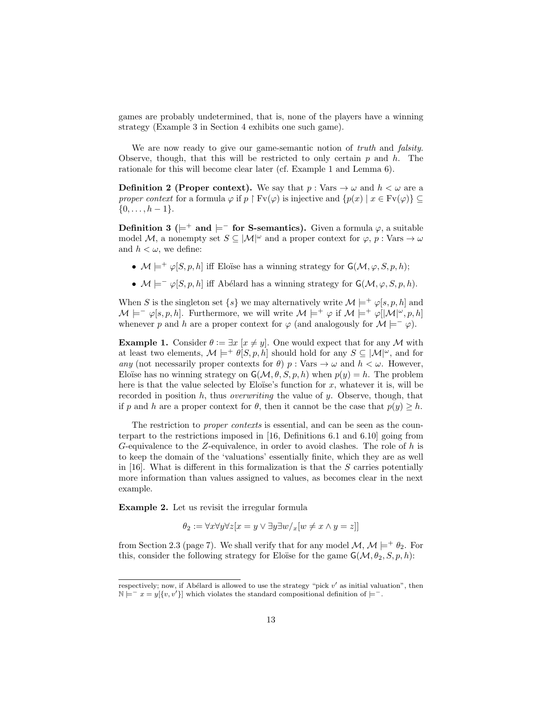games are probably undetermined, that is, none of the players have a winning strategy (Example 3 in Section 4 exhibits one such game).

We are now ready to give our game-semantic notion of *truth* and *falsity*. Observe, though, that this will be restricted to only certain  $p$  and  $h$ . The rationale for this will become clear later (cf. Example 1 and Lemma 6).

**Definition 2 (Proper context).** We say that  $p : \text{Vars} \to \omega$  and  $h < \omega$  are a proper context for a formula  $\varphi$  if  $p \restriction Fv(\varphi)$  is injective and  $\{p(x) \mid x \in Fv(\varphi)\}\subseteq$  $\{0, \ldots, h-1\}.$ 

Definition 3 ( $\models$ <sup>+</sup> and  $\models$ <sup>-</sup> for S-semantics). Given a formula  $\varphi$ , a suitable model M, a nonempty set  $S \subseteq |M|^\omega$  and a proper context for  $\varphi$ , p: Vars  $\to \omega$ and  $h < \omega$ , we define:

- $\mathcal{M} \models^+ \varphi[S, p, h]$  iff Eloïse has a winning strategy for  $\mathsf{G}(\mathcal{M}, \varphi, S, p, h)$ ;
- $\mathcal{M} \models^{\perp} \varphi[S, p, h]$  iff Abélard has a winning strategy for  $\mathsf{G}(\mathcal{M}, \varphi, S, p, h)$ .

When S is the singleton set  $\{s\}$  we may alternatively write  $\mathcal{M} \models^+ \varphi[s, p, h]$  and  $\mathcal{M} \models^-\varphi[s, p, h]$ . Furthermore, we will write  $\mathcal{M} \models^+\varphi$  if  $\mathcal{M} \models^+\varphi[\mathcal{M}]^{\omega}, p, h]$ whenever p and h are a proper context for  $\varphi$  (and analogously for  $\mathcal{M} \models^-\varphi$ ).

**Example 1.** Consider  $\theta := \exists x \ [x \neq y]$ . One would expect that for any M with at least two elements,  $\mathcal{M} \models^+ \theta[S, p, h]$  should hold for any  $S \subseteq |\mathcal{M}|^{\omega}$ , and for any (not necessarily proper contexts for  $\theta$ )  $p : \text{Vars} \to \omega$  and  $h < \omega$ . However, Eloïse has no winning strategy on  $\mathsf{G}(\mathcal{M}, \theta, S, p, h)$  when  $p(y) = h$ . The problem here is that the value selected by Eloïse's function for  $x$ , whatever it is, will be recorded in position  $h$ , thus *overwriting* the value of  $y$ . Observe, though, that if p and h are a proper context for  $\theta$ , then it cannot be the case that  $p(y) \geq h$ .

The restriction to *proper contexts* is essential, and can be seen as the counterpart to the restrictions imposed in [16, Definitions 6.1 and 6.10] going from G-equivalence to the Z-equivalence, in order to avoid clashes. The role of h is to keep the domain of the 'valuations' essentially finite, which they are as well in  $[16]$ . What is different in this formalization is that the S carries potentially more information than values assigned to values, as becomes clear in the next example.

Example 2. Let us revisit the irregular formula

$$
\theta_2 := \forall x \forall y \forall z [x = y \lor \exists y \exists w /_{x} [w \neq x \land y = z]]
$$

from Section 2.3 (page 7). We shall verify that for any model  $\mathcal{M}, \mathcal{M} \models^{+} \theta_{2}$ . For this, consider the following strategy for Eloïse for the game  $\mathsf{G}(\mathcal{M}, \theta_2, S, p, h)$ :

respectively; now, if Abélard is allowed to use the strategy "pick v' as initial valuation", then  $N \models^{-} x = y[\{v, v'\}]$  which violates the standard compositional definition of  $\models^{-}$ .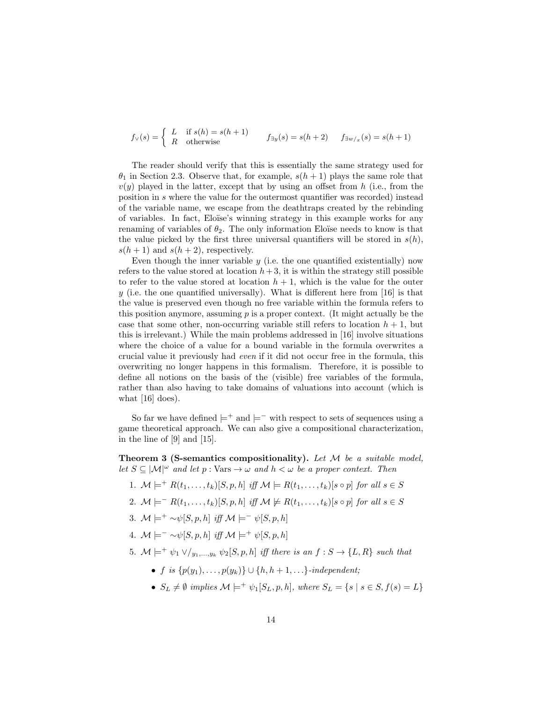$$
f_{\vee}(s) = \begin{cases} L & \text{if } s(h) = s(h+1) \\ R & \text{otherwise} \end{cases} \qquad f_{\exists y}(s) = s(h+2) \qquad f_{\exists w/x}(s) = s(h+1)
$$

The reader should verify that this is essentially the same strategy used for  $\theta_1$  in Section 2.3. Observe that, for example,  $s(h+1)$  plays the same role that  $v(y)$  played in the latter, except that by using an offset from h (i.e., from the position in s where the value for the outermost quantifier was recorded) instead of the variable name, we escape from the deathtraps created by the rebinding of variables. In fact, Elo¨ıse's winning strategy in this example works for any renaming of variables of  $\theta_2$ . The only information Eloïse needs to know is that the value picked by the first three universal quantifiers will be stored in  $s(h)$ ,  $s(h+1)$  and  $s(h+2)$ , respectively.

Even though the inner variable  $y$  (i.e. the one quantified existentially) now refers to the value stored at location  $h + 3$ , it is within the strategy still possible to refer to the value stored at location  $h + 1$ , which is the value for the outer y (i.e. the one quantified universally). What is different here from [16] is that the value is preserved even though no free variable within the formula refers to this position anymore, assuming  $p$  is a proper context. (It might actually be the case that some other, non-occurring variable still refers to location  $h + 1$ , but this is irrelevant.) While the main problems addressed in [16] involve situations where the choice of a value for a bound variable in the formula overwrites a crucial value it previously had even if it did not occur free in the formula, this overwriting no longer happens in this formalism. Therefore, it is possible to define all notions on the basis of the (visible) free variables of the formula, rather than also having to take domains of valuations into account (which is what  $[16]$  does).

So far we have defined  $\models^+$  and  $\models^-$  with respect to sets of sequences using a game theoretical approach. We can also give a compositional characterization, in the line of [9] and [15].

**Theorem 3 (S-semantics compositionality).** Let  $M$  be a suitable model, let  $S \subseteq |\mathcal{M}|^{\omega}$  and let  $p : \text{Vars} \to \omega$  and  $h < \omega$  be a proper context. Then

- 1.  $\mathcal{M} \models^+ R(t_1,\ldots,t_k)[S,p,h]$  iff  $\mathcal{M} \models R(t_1,\ldots,t_k)[s \circ p]$  for all  $s \in S$
- 2.  $\mathcal{M} \models^{-} R(t_1, \ldots, t_k)[S, p, h]$  iff  $\mathcal{M} \not\models R(t_1, \ldots, t_k)[s \circ p]$  for all  $s \in S$
- 3.  $\mathcal{M} \models^+ \sim \psi[S, p, h]$  iff  $\mathcal{M} \models^- \psi[S, p, h]$
- 4.  $\mathcal{M} \models^- \sim \psi[S, p, h]$  iff  $\mathcal{M} \models^+ \psi[S, p, h]$
- 5.  $\mathcal{M} \models^+ \psi_1 \vee \mathcal{N}_{y_1,\dots,y_k} \psi_2[S,p,h]$  iff there is an  $f : S \to \{L,R\}$  such that
	- f is  $\{p(y_1), \ldots, p(y_k)\} \cup \{h, h+1, \ldots\}$ -independent;
	- $S_L \neq \emptyset$  implies  $\mathcal{M} \models^+ \psi_1[S_L, p, h]$ , where  $S_L = \{s \mid s \in S, f(s) = L\}$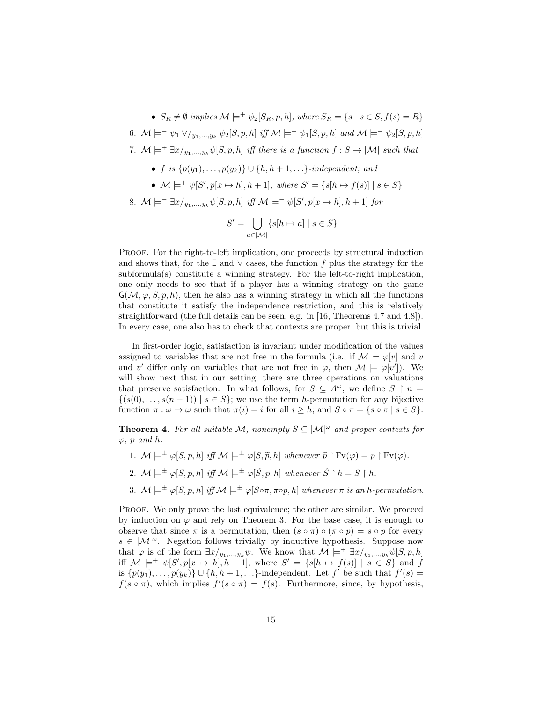•  $S_R \neq \emptyset$  implies  $\mathcal{M} \models^+ \psi_2[S_R, p, h]$ , where  $S_R = \{s \mid s \in S, f(s) = R\}$ 6.  $\mathcal{M} \models^= \psi_1 \vee \big\langle u_1, \ldots, u_k \psi_2[S, p, h] \text{ iff } \mathcal{M} \models^= \psi_1[S, p, h] \text{ and } \mathcal{M} \models^= \psi_2[S, p, h]$ 7.  $M \models^+ \exists x/_{y_1,\ldots,y_k} \psi[S, p, h]$  iff there is a function  $f : S \rightarrow |M|$  such that • f is  $\{p(y_1), \ldots, p(y_k)\} \cup \{h, h+1, \ldots\}$ -independent; and •  $\mathcal{M} \models^+ \psi[S', p[x \mapsto h], h+1]$ , where  $S' = \{s[h \mapsto f(s)] \mid s \in S\}$ 8.  $\mathcal{M} \models^{-} \exists x/y_1,...,y_k \psi[S, p, h]$  iff  $\mathcal{M} \models^{-} \psi[S', p[x \mapsto h], h+1]$  for  $S' = \begin{pmatrix} \end{pmatrix}$  $a ∈ |M|$  $\{s[h \mapsto a] \mid s \in S\}$ 

Proof. For the right-to-left implication, one proceeds by structural induction and shows that, for the  $\exists$  and  $\vee$  cases, the function f plus the strategy for the subformula(s) constitute a winning strategy. For the left-to-right implication, one only needs to see that if a player has a winning strategy on the game  $G(\mathcal{M}, \varphi, S, p, h)$ , then he also has a winning strategy in which all the functions that constitute it satisfy the independence restriction, and this is relatively straightforward (the full details can be seen, e.g. in [16, Theorems 4.7 and 4.8]). In every case, one also has to check that contexts are proper, but this is trivial.

In first-order logic, satisfaction is invariant under modification of the values assigned to variables that are not free in the formula (i.e., if  $\mathcal{M} \models \varphi[v]$  and v and v' differ only on variables that are not free in  $\varphi$ , then  $\mathcal{M} \models \varphi[v']$ . We will show next that in our setting, there are three operations on valuations that preserve satisfaction. In what follows, for  $S \subseteq A^{\omega}$ , we define  $S \restriction n =$  $\{(s(0), \ldots, s(n-1)) \mid s \in S\}$ ; we use the term h-permutation for any bijective function  $\pi : \omega \to \omega$  such that  $\pi(i) = i$  for all  $i \geq h$ ; and  $S \circ \pi = \{s \circ \pi \mid s \in S\}.$ 

**Theorem 4.** For all suitable M, nonempty  $S \subseteq |\mathcal{M}|^{\omega}$  and proper contexts for  $\varphi$ , p and h:

- 1.  $\mathcal{M} \models^{\pm} \varphi[S, p, h]$  iff  $\mathcal{M} \models^{\pm} \varphi[S, \tilde{p}, h]$  whenever  $\tilde{p} \restriction Fv(\varphi) = p \restriction Fv(\varphi)$ .
- 2.  $\mathcal{M} \models^{\pm} \varphi[S, p, h]$  iff  $\mathcal{M} \models^{\pm} \varphi[\widetilde{S}, p, h]$  whenever  $\widetilde{S} \restriction h = S \restriction h$ .
- 3.  $\mathcal{M} \models^{\pm} \varphi[S, p, h]$  iff  $\mathcal{M} \models^{\pm} \varphi[S \circ \pi, \pi \circ p, h]$  whenever  $\pi$  is an h-permutation.

Proof. We only prove the last equivalence; the other are similar. We proceed by induction on  $\varphi$  and rely on Theorem 3. For the base case, it is enough to observe that since  $\pi$  is a permutation, then  $(s \circ \pi) \circ (\pi \circ p) = s \circ p$  for every  $s \in |\mathcal{M}|^{\omega}$ . Negation follows trivially by inductive hypothesis. Suppose now that  $\varphi$  is of the form  $\exists x/y_1,...,y_k \psi$ . We know that  $\mathcal{M} \models^+ \exists x/y_1,...,y_k \psi[S, p, h]$ iff  $\mathcal{M} \models^+ \psi[S', p[x \mapsto h], h+1]$ , where  $S' = \{s[h \mapsto f(s)] \mid s \in S\}$  and f is  $\{p(y_1), \ldots, p(y_k)\} \cup \{h, h+1, \ldots\}$ -independent. Let  $f'$  be such that  $f'(s) =$  $f(s \circ \pi)$ , which implies  $f'(s \circ \pi) = f(s)$ . Furthermore, since, by hypothesis,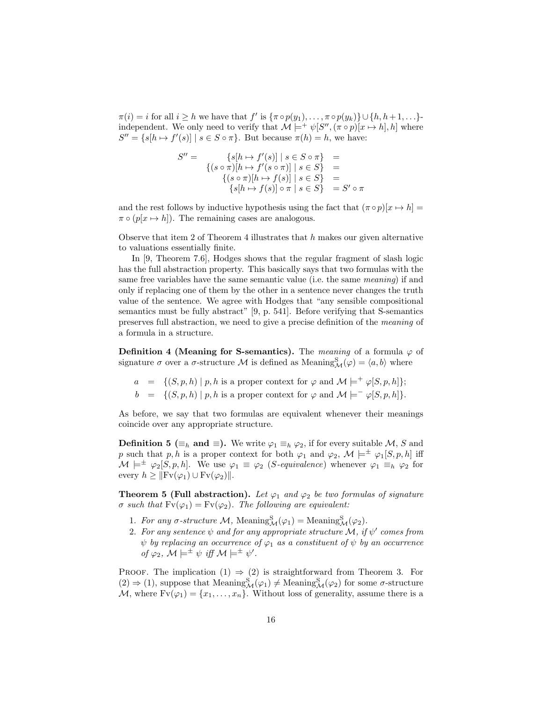$\pi(i) = i$  for all  $i \geq h$  we have that  $f'$  is  $\{\pi \circ p(y_1), \ldots, \pi \circ p(y_k)\} \cup \{h, h+1, \ldots\}$ independent. We only need to verify that  $\mathcal{M} \models^+ \psi[S'', (\pi \circ p)[x \mapsto h], h]$  where  $S'' = \{s|h \mapsto f'(s)| \mid s \in S \circ \pi\}.$  But because  $\pi(h) = h$ , we have:

$$
S'' = \{s[h \mapsto f'(s)] \mid s \in S \circ \pi\} =
$$
  

$$
\{(s \circ \pi)[h \mapsto f'(s \circ \pi)] \mid s \in S\} =
$$
  

$$
\{(s \circ \pi)[h \mapsto f(s)] \mid s \in S\} =
$$
  

$$
\{s[h \mapsto f(s)] \circ \pi \mid s \in S\} = S' \circ \pi
$$

and the rest follows by inductive hypothesis using the fact that  $(\pi \circ p)[x \mapsto h] =$  $\pi \circ (p[x \mapsto h])$ . The remaining cases are analogous.

Observe that item 2 of Theorem 4 illustrates that  $h$  makes our given alternative to valuations essentially finite.

In [9, Theorem 7.6], Hodges shows that the regular fragment of slash logic has the full abstraction property. This basically says that two formulas with the same free variables have the same semantic value (i.e. the same meaning) if and only if replacing one of them by the other in a sentence never changes the truth value of the sentence. We agree with Hodges that "any sensible compositional semantics must be fully abstract" [9, p. 541]. Before verifying that S-semantics preserves full abstraction, we need to give a precise definition of the meaning of a formula in a structure.

**Definition 4 (Meaning for S-semantics).** The *meaning* of a formula  $\varphi$  of signature  $\sigma$  over a  $\sigma$ -structure M is defined as Meaning  $_A^S(\varphi) = \langle a, b \rangle$  where

- $a = \{(S, p, h) | p, h \text{ is a proper context for } \varphi \text{ and } \mathcal{M} \models^+ \varphi[S, p, h] \};$
- $b = \{(S, p, h) | p, h \text{ is a proper context for } \varphi \text{ and } \mathcal{M} \models^-\varphi[S, p, h]\}.$

As before, we say that two formulas are equivalent whenever their meanings coincide over any appropriate structure.

**Definition 5** ( $\equiv_h$  and  $\equiv$ ). We write  $\varphi_1 \equiv_h \varphi_2$ , if for every suitable M, S and p such that p, h is a proper context for both  $\varphi_1$  and  $\varphi_2$ ,  $\mathcal{M} \models^{\pm} \varphi_1[S, p, h]$  iff  $\mathcal{M} \models^{\pm} \varphi_2[S, p, h].$  We use  $\varphi_1 \equiv \varphi_2$  (*S-equivalence*) whenever  $\varphi_1 \equiv_h \varphi_2$  for every  $h \geq ||Fv(\varphi_1) \cup Fv(\varphi_2)||.$ 

**Theorem 5 (Full abstraction).** Let  $\varphi_1$  and  $\varphi_2$  be two formulas of signature  $\sigma$  such that  $Fv(\varphi_1) = Fv(\varphi_2)$ . The following are equivalent:

- 1. For any  $\sigma$ -structure M, Meaning  $_{\mathcal{M}}^{\mathcal{S}}(\varphi_1) = \text{Meaning}_{\mathcal{M}}^{\mathcal{S}}(\varphi_2)$ .
- 2. For any sentence  $\psi$  and for any appropriate structure M, if  $\psi'$  comes from  $\psi$  by replacing an occurrence of  $\varphi_1$  as a constituent of  $\psi$  by an occurrence of  $\varphi_2$ ,  $\mathcal{M} \models^{\pm} \psi$  iff  $\mathcal{M} \models^{\pm} \psi'$ .

PROOF. The implication  $(1) \Rightarrow (2)$  is straightforward from Theorem 3. For  $(2) \Rightarrow (1)$ , suppose that Meaning ${}_{\mathcal{M}}^{S}(\varphi_1) \neq$  Meaning ${}_{\mathcal{M}}^{S}(\varphi_2)$  for some  $\sigma$ -structure M, where  $Fv(\varphi_1) = \{x_1, \ldots, x_n\}$ . Without loss of generality, assume there is a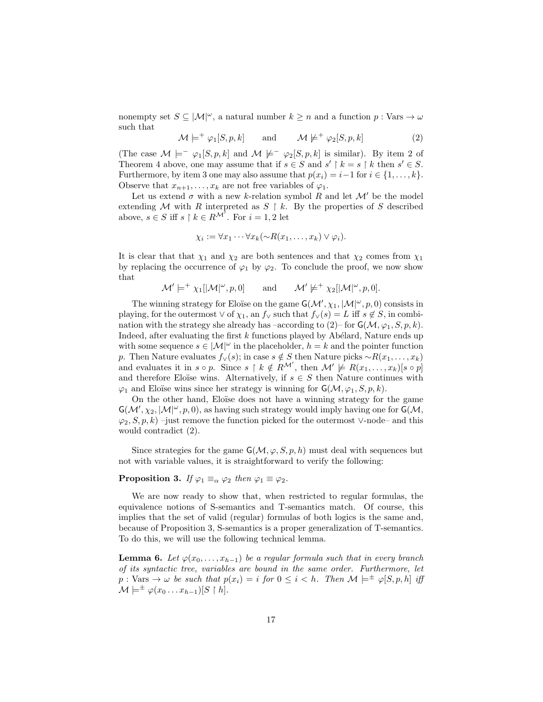nonempty set  $S \subseteq |\mathcal{M}|^{\omega}$ , a natural number  $k \geq n$  and a function  $p : \text{Vars} \to \omega$ such that

$$
\mathcal{M} \models^+ \varphi_1[S, p, k] \quad \text{and} \quad \mathcal{M} \not\models^+ \varphi_2[S, p, k] \tag{2}
$$

(The case  $\mathcal{M} \models^+ \varphi_1[S, p, k]$  and  $\mathcal{M} \not\models^+ \varphi_2[S, p, k]$  is similar). By item 2 of Theorem 4 above, one may assume that if  $s \in S$  and  $s' \upharpoonright k = s \upharpoonright k$  then  $s' \in S$ . Furthermore, by item 3 one may also assume that  $p(x_i) = i-1$  for  $i \in \{1, ..., k\}$ . Observe that  $x_{n+1}, \ldots, x_k$  are not free variables of  $\varphi_1$ .

Let us extend  $\sigma$  with a new k-relation symbol R and let  $\mathcal{M}'$  be the model extending M with R interpreted as  $S \restriction k$ . By the properties of S described above,  $s \in S$  iff  $s \restriction k \in R^{\mathcal{M}^j}$ . For  $i = 1, 2$  let

$$
\chi_i := \forall x_1 \cdots \forall x_k (\neg R(x_1, \ldots, x_k) \vee \varphi_i).
$$

It is clear that that  $\chi_1$  and  $\chi_2$  are both sentences and that  $\chi_2$  comes from  $\chi_1$ by replacing the occurrence of  $\varphi_1$  by  $\varphi_2$ . To conclude the proof, we now show that

 $\mathcal{M}' \models^+ \chi_1[|\mathcal{M}|^\omega, p, 0]$  and  $\mathcal{M}' \not\models^+ \chi_2[|\mathcal{M}|^\omega, p, 0].$ 

The winning strategy for Eloïse on the game  $G(\mathcal{M}', \chi_1, |\mathcal{M}|^{\omega}, p, 0)$  consists in playing, for the outermost  $\vee$  of  $\chi_1$ , an  $f_\vee$  such that  $f_\vee(s) = L$  iff  $s \notin S$ , in combination with the strategy she already has –according to  $(2)$ – for  $G(\mathcal{M}, \varphi_1, S, p, k)$ . Indeed, after evaluating the first  $k$  functions played by Abélard, Nature ends up with some sequence  $s \in |\mathcal{M}|^{\omega}$  in the placeholder,  $h = k$  and the pointer function p. Then Nature evaluates  $f_{\vee}(s)$ ; in case  $s \notin S$  then Nature picks  $\sim R(x_1, \ldots, x_k)$ and evaluates it in  $s \circ p$ . Since  $s \restriction k \notin R^{\mathcal{M}'}$ , then  $\mathcal{M}' \not\models R(x_1, \ldots, x_k)[s \circ p]$ and therefore Eloïse wins. Alternatively, if  $s \in S$  then Nature continues with  $\varphi_1$  and Eloïse wins since her strategy is winning for  $\mathsf{G}(\mathcal{M}, \varphi_1, S, p, k)$ .

On the other hand, Eloïse does not have a winning strategy for the game  $\mathsf{G}(\mathcal{M}', \chi_2, |\mathcal{M}|^{\omega}, p, 0)$ , as having such strategy would imply having one for  $\mathsf{G}(\mathcal{M}, \mathcal{M})$  $\varphi_2, S, p, k$ ) –just remove the function picked for the outermost ∨-node– and this would contradict (2).

Since strategies for the game  $\mathsf{G}(\mathcal{M}, \varphi, S, p, h)$  must deal with sequences but not with variable values, it is straightforward to verify the following:

# **Proposition 3.** If  $\varphi_1 \equiv_\alpha \varphi_2$  then  $\varphi_1 \equiv \varphi_2$ .

We are now ready to show that, when restricted to regular formulas, the equivalence notions of S-semantics and T-semantics match. Of course, this implies that the set of valid (regular) formulas of both logics is the same and, because of Proposition 3, S-semantics is a proper generalization of T-semantics. To do this, we will use the following technical lemma.

**Lemma 6.** Let  $\varphi(x_0, \ldots, x_{h-1})$  be a regular formula such that in every branch of its syntactic tree, variables are bound in the same order. Furthermore, let  $p: \text{Vars} \to \omega$  be such that  $p(x_i) = i$  for  $0 \leq i \leq h$ . Then  $\mathcal{M} \models^{\pm} \varphi[S, p, h]$  iff  $\mathcal{M} \models^{\pm} \varphi(x_0 \dots x_{h-1})[S \restriction h].$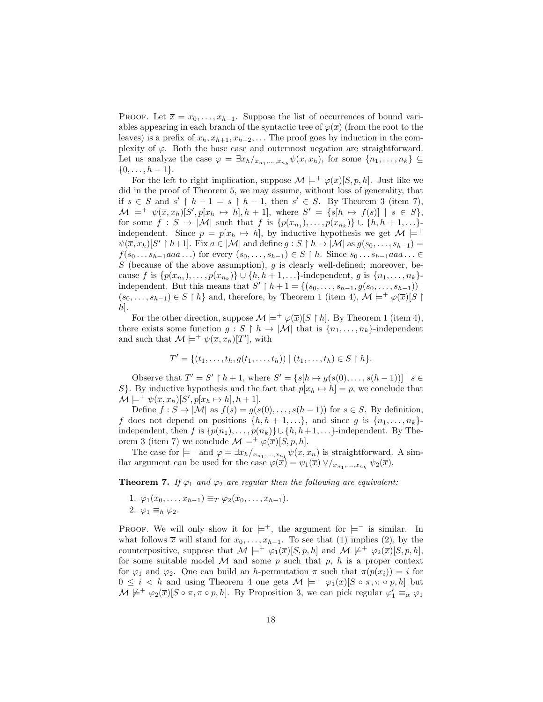PROOF. Let  $\overline{x} = x_0, \ldots, x_{h-1}$ . Suppose the list of occurrences of bound variables appearing in each branch of the syntactic tree of  $\varphi(\overline{x})$  (from the root to the leaves) is a prefix of  $x_h, x_{h+1}, x_{h+2}, \ldots$  The proof goes by induction in the complexity of  $\varphi$ . Both the base case and outermost negation are straightforward. Let us analyze the case  $\varphi = \exists x_h /_{x_{n_1},...,x_{n_k}} \psi(\overline{x}, x_h)$ , for some  $\{n_1,...,n_k\} \subseteq$  $\{0, \ldots, h-1\}.$ 

For the left to right implication, suppose  $\mathcal{M} \models^+ \varphi(\overline{x})[S, p, h]$ . Just like we did in the proof of Theorem 5, we may assume, without loss of generality, that if  $s \in S$  and  $s' \upharpoonright h-1 = s \upharpoonright h-1$ , then  $s' \in S$ . By Theorem 3 (item 7),  $\mathcal{M} \models^+ \psi(\overline{x}, x_h)[S', p[x_h \mapsto h], h+1], \text{ where } S' = \{s[h \mapsto f(s)] \mid s \in S\},\$ for some  $f: S \to |\mathcal{M}|$  such that f is  $\{p(x_{n_1}), \ldots, p(x_{n_k})\} \cup \{h, h+1, \ldots\}$ independent. Since  $p = p[x_h \mapsto h]$ , by inductive hypothesis we get  $\mathcal{M} \models^{+}$  $\psi(\overline{x}, x_h)[S' \upharpoonright h+1]$ . Fix  $a \in |\mathcal{M}|$  and define  $g : S \upharpoonright h \to |\mathcal{M}|$  as  $g(s_0, \ldots, s_{h-1}) =$  $f(s_0 \ldots s_{h-1}aaa \ldots)$  for every  $(s_0, \ldots, s_{h-1}) \in S \restriction h$ . Since  $s_0 \ldots s_{h-1}aaa \ldots \in$ S (because of the above assumption),  $g$  is clearly well-defined; moreover, because f is  $\{p(x_{n_1}),...,p(x_{n_k})\} \cup \{h, h+1,...\}$ -independent, g is  $\{n_1,...,n_k\}$ independent. But this means that  $S' \restriction h + 1 = \{(s_0, \ldots, s_{h-1}, g(s_0, \ldots, s_{h-1}))\}\;$  $(s_0, \ldots, s_{h-1}) \in S \restriction h$  and, therefore, by Theorem 1 (item 4),  $\mathcal{M} \models^+ \varphi(\overline{x})[S \restriction$  $|h|$ .

For the other direction, suppose  $\mathcal{M} \models^+ \varphi(\overline{x})[S \restriction h]$ . By Theorem 1 (item 4), there exists some function  $g : S \restriction h \to |\mathcal{M}|$  that is  $\{n_1, \ldots, n_k\}$ -independent and such that  $\mathcal{M} \models^+ \psi(\overline{x}, x_h)[T']$ , with

$$
T' = \{ (t_1, \ldots, t_h, g(t_1, \ldots, t_h)) \mid (t_1, \ldots, t_h) \in S \restriction h \}.
$$

Observe that  $T' = S' \restriction h + 1$ , where  $S' = \{s[h \mapsto g(s(0), \dots, s(h-1))] \mid s \in$ S}. By inductive hypothesis and the fact that  $p[x_h \mapsto h] = p$ , we conclude that  $\mathcal{M} \models^+ \psi(\overline{x}, x_h)[S', p[x_h \mapsto h], h+1].$ 

Define  $f: S \to |\mathcal{M}|$  as  $f(s) = g(s(0), \ldots, s(h-1))$  for  $s \in S$ . By definition, f does not depend on positions  $\{h, h + 1, \ldots\}$ , and since g is  $\{n_1, \ldots, n_k\}$ independent, then f is  $\{p(n_1), \ldots, p(n_k)\} \cup \{h, h+1, \ldots\}$ -independent. By Theorem 3 (item 7) we conclude  $\mathcal{M} \models^+ \varphi(\overline{x})[S, p, h].$ 

The case for  $\models^-$  and  $\varphi = \exists x_h/x_{n_1},...,x_{n_k} \psi(\overline{x}, x_n)$  is straightforward. A similar argument can be used for the case  $\varphi(\overline{x}) = \psi_1(\overline{x}) \vee /_{x_{n_1},...,x_{n_k}} \psi_2(\overline{x})$ .

**Theorem 7.** If  $\varphi_1$  and  $\varphi_2$  are regular then the following are equivalent:

1.  $\varphi_1(x_0,\ldots,x_{h-1}) \equiv_T \varphi_2(x_0,\ldots,x_{h-1}).$ 2.  $\varphi_1 \equiv_h \varphi_2$ .

PROOF. We will only show it for  $\models^+$ , the argument for  $\models^-$  is similar. In what follows  $\bar{x}$  will stand for  $x_0, \ldots, x_{h-1}$ . To see that (1) implies (2), by the counterpositive, suppose that  $\mathcal{M} \models^+ \varphi_1(\overline{x})[S, p, h]$  and  $\mathcal{M} \not\models^+ \varphi_2(\overline{x})[S, p, h]$ , for some suitable model  $M$  and some p such that p, h is a proper context for  $\varphi_1$  and  $\varphi_2$ . One can build an h-permutation  $\pi$  such that  $\pi(p(x_i)) = i$  for  $0 \leq i \leq h$  and using Theorem 4 one gets  $\mathcal{M} \models^+ \varphi_1(\overline{x})[S \circ \pi, \pi \circ p, h]$  but  $\mathcal{M} \not\models^+ \varphi_2(\overline{x})[S \circ \pi, \pi \circ p, h]$ . By Proposition 3, we can pick regular  $\varphi'_1 \equiv_\alpha \varphi_1$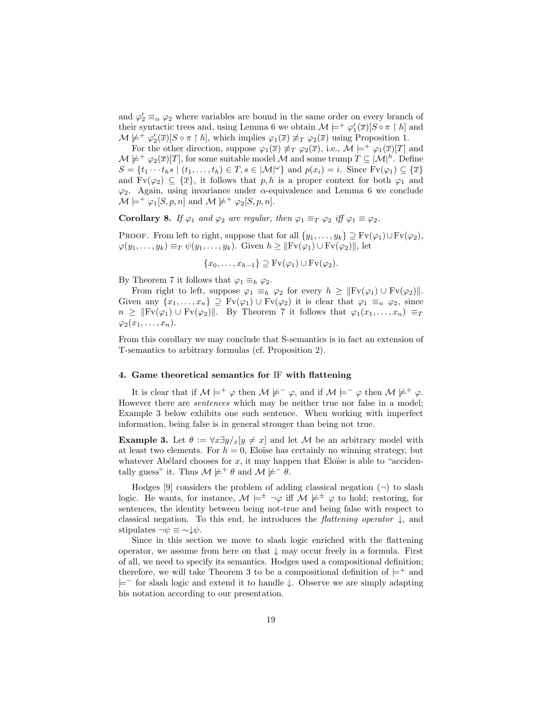and  $\varphi'_2 \equiv_\alpha \varphi_2$  where variables are bound in the same order on every branch of their syntactic trees and, using Lemma 6 we obtain  $\mathcal{M} \models^+ \varphi_1'(\overline{x})[S \circ \pi \upharpoonright h]$  and  $\mathcal{M} \not\models^+ \varphi_2'(\overline{x})[S \circ \pi \upharpoonright h],$  which implies  $\varphi_1(\overline{x}) \not\equiv_T \varphi_2(\overline{x})$  using Proposition 1.

For the other direction, suppose  $\varphi_1(\overline{x}) \neq_T \varphi_2(\overline{x})$ , i.e.,  $\mathcal{M} \models^+ \varphi_1(\overline{x})[T]$  and  $\mathcal{M} \not\models^+ \varphi_2(\overline{x})[T]$ , for some suitable model  $\mathcal M$  and some trump  $T \subseteq |\mathcal{M}|^h$ . Define  $S = \{t_1 \cdots t_h s \mid (t_1, \ldots, t_h) \in T, s \in |\mathcal{M}|^{\omega}\}\$ and  $p(x_i) = i$ . Since  $Fv(\varphi_1) \subseteq {\overline{x}}\}\$ and  $Fv(\varphi_2) \subseteq {\overline{x}}$ , it follows that p, h is a proper context for both  $\varphi_1$  and  $\varphi_2$ . Again, using invariance under  $\alpha$ -equivalence and Lemma 6 we conclude  $\mathcal{M} \models^+ \varphi_1[S, p, n]$  and  $\mathcal{M} \not\models^+ \varphi_2[S, p, n]$ .

Corollary 8. If  $\varphi_1$  and  $\varphi_2$  are regular, then  $\varphi_1 \equiv_T \varphi_2$  iff  $\varphi_1 \equiv \varphi_2$ .

PROOF. From left to right, suppose that for all  $\{y_1, \ldots, y_k\} \supseteq \text{Fv}(\varphi_1) \cup \text{Fv}(\varphi_2)$ ,  $\varphi(y_1,\ldots,y_k)\equiv_T \psi(y_1,\ldots,y_k)$ . Given  $h\geq ||Fv(\varphi_1)\cup Fv(\varphi_2)||$ , let

$$
\{x_0,\ldots,x_{h-1}\}\supseteq \mathrm{Fv}(\varphi_1)\cup \mathrm{Fv}(\varphi_2).
$$

By Theorem 7 it follows that  $\varphi_1 \equiv_h \varphi_2$ .

From right to left, suppose  $\varphi_1 \equiv_h \varphi_2$  for every  $h \geq ||Fv(\varphi_1) \cup Fv(\varphi_2)||$ . Given any  $\{x_1, \ldots, x_n\} \supseteq \mathrm{Fv}(\varphi_1) \cup \mathrm{Fv}(\varphi_2)$  it is clear that  $\varphi_1 \equiv_n \varphi_2$ , since  $n \geq ||Fv(\varphi_1) \cup Fv(\varphi_2)||$ . By Theorem 7 it follows that  $\varphi_1(x_1, \ldots, x_n) \equiv_T$  $\varphi_2(x_1,\ldots,x_n).$ 

From this corollary we may conclude that S-semantics is in fact an extension of T-semantics to arbitrary formulas (cf. Proposition 2).

## 4. Game theoretical semantics for IF with flattening

It is clear that if  $M \models^+ \varphi$  then  $M \not\models^- \varphi$ , and if  $M \models^- \varphi$  then  $M \not\models^+ \varphi$ . However there are sentences which may be neither true nor false in a model; Example 3 below exhibits one such sentence. When working with imperfect information, being false is in general stronger than being not true.

**Example 3.** Let  $\theta := \forall x \exists y / x [y \neq x]$  and let M be an arbitrary model with at least two elements. For  $h = 0$ , Eloïse has certainly no winning strategy, but whatever Abélard chooses for  $x$ , it may happen that Eloïse is able to "accidentally guess" it. Thus  $\mathcal{M} \not\models^+ \theta$  and  $\mathcal{M} \not\models^- \theta$ .

Hodges [9] considers the problem of adding classical negation  $(\neg)$  to slash logic. He wants, for instance,  $\mathcal{M} \models^{\pm} \neg \varphi$  iff  $\mathcal{M} \not\models^{\pm} \varphi$  to hold; restoring, for sentences, the identity between being not-true and being false with respect to classical negation. To this end, he introduces the *flattening operator*  $\downarrow$ , and stipulates  $\neg \psi \equiv \neg \psi$ .

Since in this section we move to slash logic enriched with the flattening operator, we assume from here on that  $\downarrow$  may occur freely in a formula. First of all, we need to specify its semantics. Hodges used a compositional definition; therefore, we will take Theorem 3 to be a compositional definition of  $\models^+$  and  $\models^-$  for slash logic and extend it to handle  $\downarrow$ . Observe we are simply adapting his notation according to our presentation.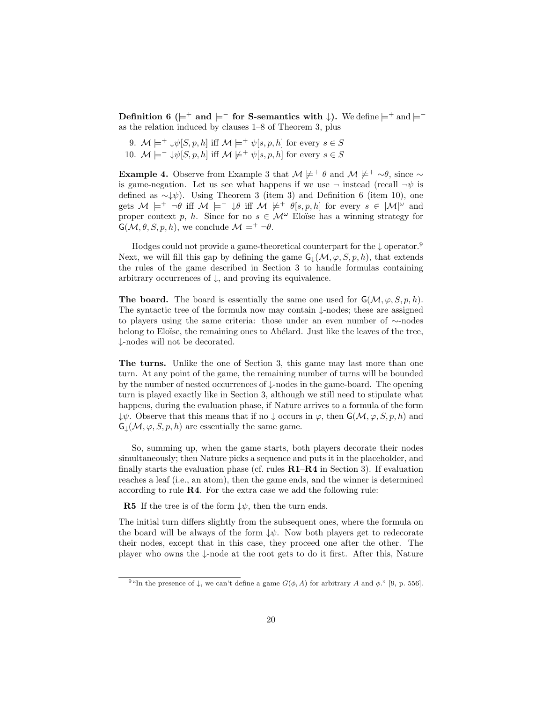Definition 6 ( $\models$ <sup>+</sup> and  $\models$ <sup>-</sup> for S-semantics with  $\downarrow$ ). We define  $\models$ <sup>+</sup> and  $\models$ <sup>-</sup> as the relation induced by clauses 1–8 of Theorem 3, plus

9.  $\mathcal{M} \models^+ \psi[S, p, h]$  iff  $\mathcal{M} \models^+ \psi[s, p, h]$  for every  $s \in S$ 10.  $\mathcal{M} \models^{\perp} \psi[S, p, h]$  iff  $\mathcal{M} \not\models^{\perp} \psi[s, p, h]$  for every  $s \in S$ 

**Example 4.** Observe from Example 3 that  $M \not\models^+ \theta$  and  $M \not\models^+ \sim \theta$ , since  $\sim$ is game-negation. Let us see what happens if we use  $\neg$  instead (recall  $\neg \psi$  is defined as  $\sim \downarrow \psi$ ). Using Theorem 3 (item 3) and Definition 6 (item 10), one gets  $M \models^+ \neg \theta$  iff  $M \models^- \psi \text{ iff } M \not\models^+ \theta[s, p, h]$  for every  $s \in |M|^\omega$  and proper context p, h. Since for no  $s \in \mathcal{M}^{\omega}$  Eloïse has a winning strategy for  $\mathsf{G}(\mathcal{M}, \theta, S, p, h)$ , we conclude  $\mathcal{M} \models^{+} \neg \theta$ .

Hodges could not provide a game-theoretical counterpart for the ↓ operator.<sup>9</sup> Next, we will fill this gap by defining the game  $G_l(M, \varphi, S, p, h)$ , that extends the rules of the game described in Section 3 to handle formulas containing arbitrary occurrences of  $\downarrow$ , and proving its equivalence.

**The board.** The board is essentially the same one used for  $G(\mathcal{M}, \varphi, S, p, h)$ . The syntactic tree of the formula now may contain ↓-nodes; these are assigned to players using the same criteria: those under an even number of ∼-nodes belong to Eloïse, the remaining ones to Abélard. Just like the leaves of the tree, ↓-nodes will not be decorated.

The turns. Unlike the one of Section 3, this game may last more than one turn. At any point of the game, the remaining number of turns will be bounded by the number of nested occurrences of ↓-nodes in the game-board. The opening turn is played exactly like in Section 3, although we still need to stipulate what happens, during the evaluation phase, if Nature arrives to a formula of the form  $\downarrow \psi$ . Observe that this means that if no  $\downarrow$  occurs in  $\varphi$ , then  $\mathsf{G}(\mathcal{M}, \varphi, S, p, h)$  and  $G_{\perp}(\mathcal{M}, \varphi, S, p, h)$  are essentially the same game.

So, summing up, when the game starts, both players decorate their nodes simultaneously; then Nature picks a sequence and puts it in the placeholder, and finally starts the evaluation phase (cf. rules  $R1-R4$  in Section 3). If evaluation reaches a leaf (i.e., an atom), then the game ends, and the winner is determined according to rule R4. For the extra case we add the following rule:

**R5** If the tree is of the form  $\downarrow \psi$ , then the turn ends.

The initial turn differs slightly from the subsequent ones, where the formula on the board will be always of the form  $\downarrow \psi$ . Now both players get to redecorate their nodes, except that in this case, they proceed one after the other. The player who owns the ↓-node at the root gets to do it first. After this, Nature

<sup>&</sup>lt;sup>9 "In the presence of  $\downarrow$ , we can't define a game  $G(\phi, A)$  for arbitrary A and  $\phi$ ." [9, p. 556].</sup>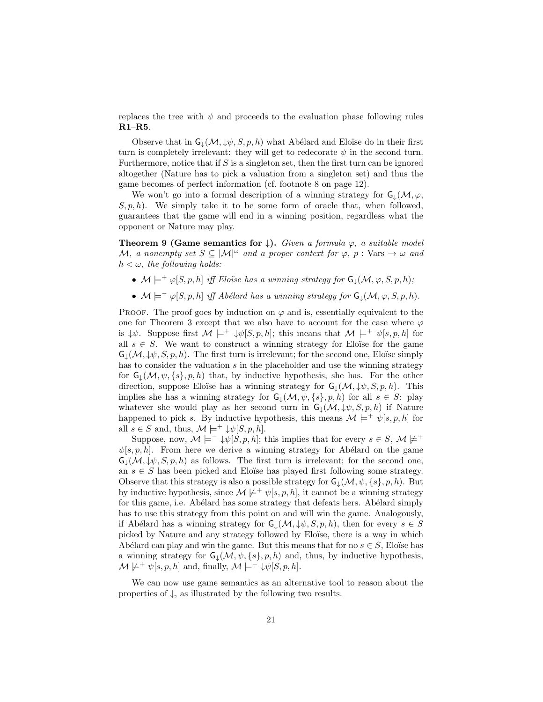replaces the tree with  $\psi$  and proceeds to the evaluation phase following rules R1–R5.

Observe that in  $\mathsf{G}_\downarrow(\mathcal{M}, \downarrow \psi, S, p, h)$  what Abélard and Eloïse do in their first turn is completely irrelevant: they will get to redecorate  $\psi$  in the second turn. Furthermore, notice that if  $S$  is a singleton set, then the first turn can be ignored altogether (Nature has to pick a valuation from a singleton set) and thus the game becomes of perfect information (cf. footnote 8 on page 12).

We won't go into a formal description of a winning strategy for  $G_{\downarrow}(M, \varphi, \varphi)$  $S, p, h$ . We simply take it to be some form of oracle that, when followed, guarantees that the game will end in a winning position, regardless what the opponent or Nature may play.

**Theorem 9 (Game semantics for** ). Given a formula  $\varphi$ , a suitable model M, a nonempty set  $S \subseteq |\mathcal{M}|^{\omega}$  and a proper context for  $\varphi$ , p: Vars  $\rightarrow \omega$  and  $h < \omega$ , the following holds:

- $\mathcal{M} \models^+ \varphi[S, p, h]$  iff Eloïse has a winning strategy for  $\mathsf{G}_\downarrow(\mathcal{M}, \varphi, S, p, h)$ ;
- $\mathcal{M} \models^-\varphi[S, p, h]$  iff Abélard has a winning strategy for  $\mathsf{G}_\downarrow(\mathcal{M}, \varphi, S, p, h)$ .

PROOF. The proof goes by induction on  $\varphi$  and is, essentially equivalent to the one for Theorem 3 except that we also have to account for the case where  $\varphi$ is  $\downarrow \psi$ . Suppose first  $\mathcal{M} \models^+ \downarrow \psi[S, p, h]$ ; this means that  $\mathcal{M} \models^+ \psi[s, p, h]$  for all  $s \in S$ . We want to construct a winning strategy for Eloïse for the game  $\mathsf{G}_{\mathsf{L}}(\mathcal{M}, \downarrow \psi, S, p, h)$ . The first turn is irrelevant; for the second one, Eloïse simply has to consider the valuation  $s$  in the placeholder and use the winning strategy for  $G_{\downarrow}(M, \psi, \{s\}, p, h)$  that, by inductive hypothesis, she has. For the other direction, suppose Eloïse has a winning strategy for  $\mathsf{G}_\mathsf{L}(\mathcal{M}, \downarrow \psi, S, p, h)$ . This implies she has a winning strategy for  $G_{\perp}(\mathcal{M}, \psi, \{s\}, p, h)$  for all  $s \in S$ : play whatever she would play as her second turn in  $G_{\downarrow}(M, \psi, S, p, h)$  if Nature happened to pick s. By inductive hypothesis, this means  $\mathcal{M} \models^+ \psi[s, p, h]$  for all  $s \in S$  and, thus,  $\mathcal{M} \models^+ \psi[S, p, h].$ 

Suppose, now,  $\mathcal{M} \models^- \downarrow \psi[S, p, h];$  this implies that for every  $s \in S$ ,  $\mathcal{M} \not\models^+$  $\psi[s, p, h]$ . From here we derive a winning strategy for Abélard on the game  $\mathsf{G}_1(\mathcal{M}, \downarrow,\mathcal{G}, p, h)$  as follows. The first turn is irrelevant; for the second one, an  $s \in S$  has been picked and Eloïse has played first following some strategy. Observe that this strategy is also a possible strategy for  $G_l(\mathcal{M}, \psi, \{s\}, p, h)$ . But by inductive hypothesis, since  $\mathcal{M} \not\models^+ \psi[s, p, h]$ , it cannot be a winning strategy for this game, i.e. Abélard has some strategy that defeats hers. Abélard simply has to use this strategy from this point on and will win the game. Analogously, if Abélard has a winning strategy for  $\mathsf{G}_\downarrow(\mathcal{M}, \downarrow \psi, S, p, h)$ , then for every  $s \in S$ picked by Nature and any strategy followed by Eloïse, there is a way in which Abélard can play and win the game. But this means that for no  $s \in S$ , Eloïse has a winning strategy for  $G_{\downarrow}(M, \psi, \{s\}, p, h)$  and, thus, by inductive hypothesis,  $\mathcal{M} \not\models^+ \psi[s, p, h]$  and, finally,  $\mathcal{M} \models^- \psi[s, p, h]$ .

We can now use game semantics as an alternative tool to reason about the properties of ↓, as illustrated by the following two results.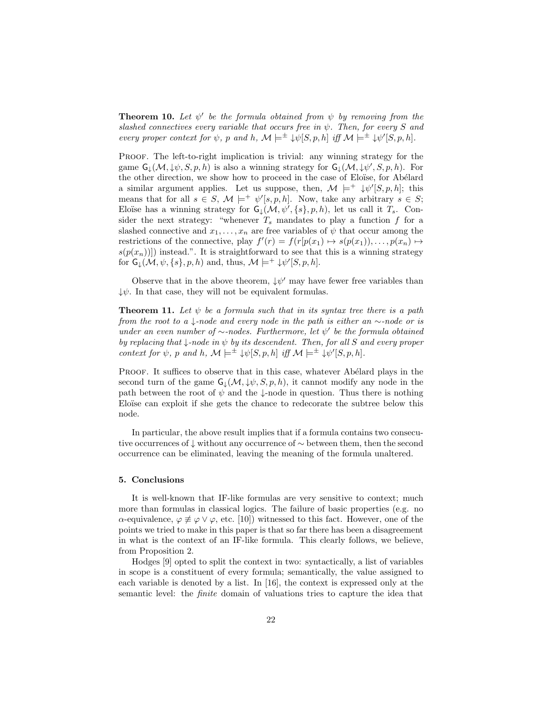**Theorem 10.** Let  $\psi'$  be the formula obtained from  $\psi$  by removing from the slashed connectives every variable that occurs free in  $\psi$ . Then, for every S and every proper context for  $\psi$ , p and h,  $\mathcal{M} \models^{\pm} \psi[S, p, h]$  iff  $\mathcal{M} \models^{\pm} \psi'[S, p, h]$ .

PROOF. The left-to-right implication is trivial: any winning strategy for the game  $\mathsf{G}_\downarrow(\mathcal{M}, \downarrow \psi, S, p, h)$  is also a winning strategy for  $\mathsf{G}_\downarrow(\mathcal{M}, \downarrow \psi', S, p, h)$ . For the other direction, we show how to proceed in the case of Eloïse, for Abélard a similar argument applies. Let us suppose, then,  $\mathcal{M} \models^+ \psi'[S,p,h];$  this means that for all  $s \in S$ ,  $\mathcal{M} \models^+ \psi'[s, p, h]$ . Now, take any arbitrary  $s \in S$ ; Eloïse has a winning strategy for  $G_{\downarrow}(\mathcal{M}, \psi', \{s\}, p, h)$ , let us call it  $T_s$ . Consider the next strategy: "whenever  $T_s$  mandates to play a function f for a slashed connective and  $x_1, \ldots, x_n$  are free variables of  $\psi$  that occur among the restrictions of the connective, play  $f'(r) = f(r[p(x_1) \mapsto s(p(x_1)), \dots, p(x_n) \mapsto$  $s(p(x_n))$ ) instead.". It is straightforward to see that this is a winning strategy for  $\mathsf{G}_\downarrow(\mathcal{M}, \psi, \{s\}, p, h)$  and, thus,  $\mathcal{M} \models^+ \downarrow \psi'[S, p, h].$ 

Observe that in the above theorem,  $\downarrow \psi'$  may have fewer free variables than  $\downarrow \psi$ . In that case, they will not be equivalent formulas.

**Theorem 11.** Let  $\psi$  be a formula such that in its syntax tree there is a path from the root to a  $\downarrow$ -node and every node in the path is either an ∼-node or is under an even number of  $\sim$ -nodes. Furthermore, let  $\psi'$  be the formula obtained by replacing that  $\downarrow$ -node in  $\psi$  by its descendent. Then, for all S and every proper context for  $\psi$ , p and h,  $\mathcal{M} \models^{\pm} \psi[S, p, h]$  iff  $\mathcal{M} \models^{\pm} \psi'[S, p, h]$ .

PROOF. It suffices to observe that in this case, whatever Abélard plays in the second turn of the game  $G_{\downarrow}(M, \downarrow \psi, S, p, h)$ , it cannot modify any node in the path between the root of  $\psi$  and the  $\downarrow$ -node in question. Thus there is nothing Eloïse can exploit if she gets the chance to redecorate the subtree below this node.

In particular, the above result implies that if a formula contains two consecutive occurrences of ↓ without any occurrence of ∼ between them, then the second occurrence can be eliminated, leaving the meaning of the formula unaltered.

### 5. Conclusions

It is well-known that IF-like formulas are very sensitive to context; much more than formulas in classical logics. The failure of basic properties (e.g. no α-equivalence,  $\varphi \not\equiv \varphi \vee \varphi$ , etc. [10]) witnessed to this fact. However, one of the points we tried to make in this paper is that so far there has been a disagreement in what is the context of an IF-like formula. This clearly follows, we believe, from Proposition 2.

Hodges [9] opted to split the context in two: syntactically, a list of variables in scope is a constituent of every formula; semantically, the value assigned to each variable is denoted by a list. In [16], the context is expressed only at the semantic level: the finite domain of valuations tries to capture the idea that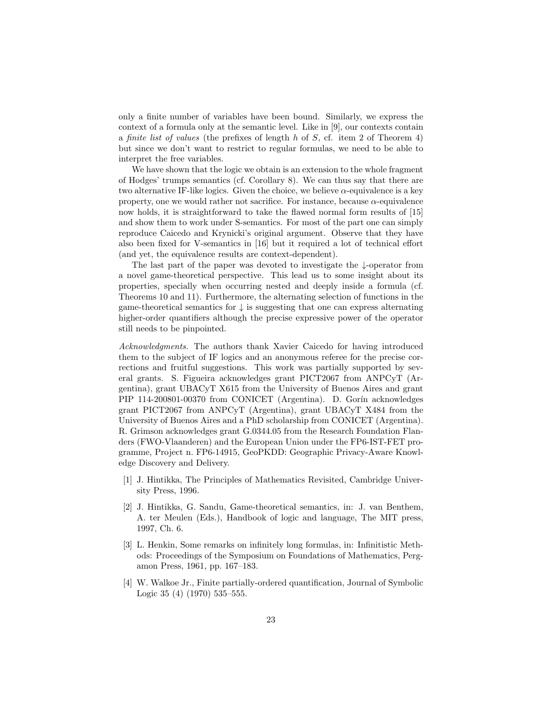only a finite number of variables have been bound. Similarly, we express the context of a formula only at the semantic level. Like in [9], our contexts contain a *finite list of values* (the prefixes of length h of S, cf. item 2 of Theorem 4) but since we don't want to restrict to regular formulas, we need to be able to interpret the free variables.

We have shown that the logic we obtain is an extension to the whole fragment of Hodges' trumps semantics (cf. Corollary 8). We can thus say that there are two alternative IF-like logics. Given the choice, we believe  $\alpha$ -equivalence is a key property, one we would rather not sacrifice. For instance, because  $\alpha$ -equivalence now holds, it is straightforward to take the flawed normal form results of [15] and show them to work under S-semantics. For most of the part one can simply reproduce Caicedo and Krynicki's original argument. Observe that they have also been fixed for V-semantics in [16] but it required a lot of technical effort (and yet, the equivalence results are context-dependent).

The last part of the paper was devoted to investigate the ↓-operator from a novel game-theoretical perspective. This lead us to some insight about its properties, specially when occurring nested and deeply inside a formula (cf. Theorems 10 and 11). Furthermore, the alternating selection of functions in the game-theoretical semantics for  $\downarrow$  is suggesting that one can express alternating higher-order quantifiers although the precise expressive power of the operator still needs to be pinpointed.

Acknowledgments. The authors thank Xavier Caicedo for having introduced them to the subject of IF logics and an anonymous referee for the precise corrections and fruitful suggestions. This work was partially supported by several grants. S. Figueira acknowledges grant PICT2067 from ANPCyT (Argentina), grant UBACyT X615 from the University of Buenos Aires and grant PIP 114-200801-00370 from CONICET (Argentina). D. Gorín acknowledges grant PICT2067 from ANPCyT (Argentina), grant UBACyT X484 from the University of Buenos Aires and a PhD scholarship from CONICET (Argentina). R. Grimson acknowledges grant G.0344.05 from the Research Foundation Flanders (FWO-Vlaanderen) and the European Union under the FP6-IST-FET programme, Project n. FP6-14915, GeoPKDD: Geographic Privacy-Aware Knowledge Discovery and Delivery.

- [1] J. Hintikka, The Principles of Mathematics Revisited, Cambridge University Press, 1996.
- [2] J. Hintikka, G. Sandu, Game-theoretical semantics, in: J. van Benthem, A. ter Meulen (Eds.), Handbook of logic and language, The MIT press, 1997, Ch. 6.
- [3] L. Henkin, Some remarks on infinitely long formulas, in: Infinitistic Methods: Proceedings of the Symposium on Foundations of Mathematics, Pergamon Press, 1961, pp. 167–183.
- [4] W. Walkoe Jr., Finite partially-ordered quantification, Journal of Symbolic Logic 35 (4) (1970) 535–555.